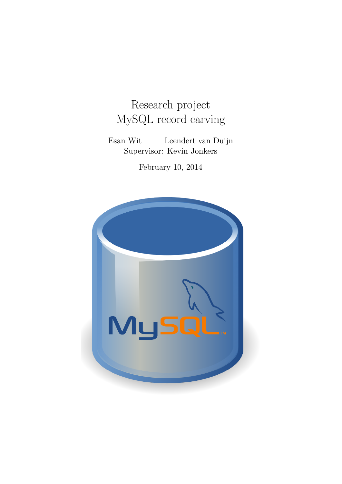# Research project MySQL record carving

Esan Wit Leendert van Duijn Supervisor: Kevin Jonkers

February 10, 2014

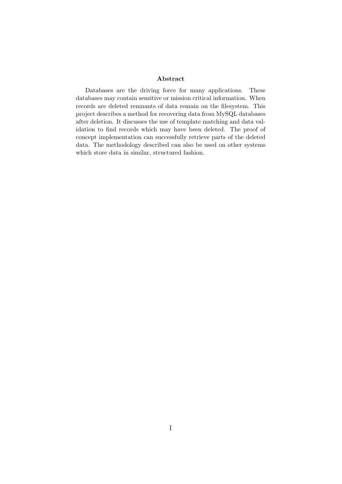#### Abstract

Databases are the driving force for many applications. These databases may contain sensitive or mission critical information. When records are deleted remnants of data remain on the filesystem. This project describes a method for recovering data from MySQL databases after deletion. It discusses the use of template matching and data validation to find records which may have been deleted. The proof of concept implementation can successfully retrieve parts of the deleted data. The methodology described can also be used on other systems which store data in similar, structured fashion.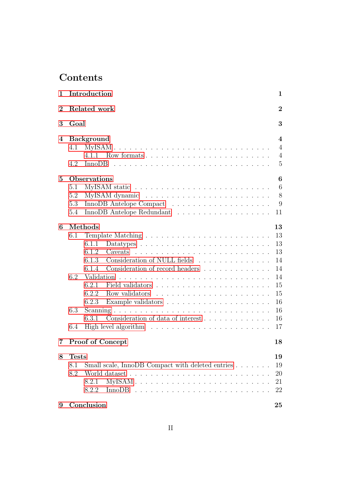# **Contents**

| 1        |              | Introduction                                     | $\mathbf 1$             |
|----------|--------------|--------------------------------------------------|-------------------------|
| $\bf{2}$ |              | Related work                                     | $\overline{2}$          |
| 3        | Goal         |                                                  | 3                       |
| 4        |              | <b>Background</b>                                | $\overline{\mathbf{4}}$ |
|          | 4.1          |                                                  | $\overline{4}$          |
|          |              |                                                  | $\overline{4}$          |
|          | 4.2          |                                                  | $\overline{5}$          |
| $\bf{5}$ |              | <b>Observations</b>                              | 6                       |
|          | 5.1          |                                                  | 6                       |
|          | 5.2          |                                                  | 8                       |
|          | 5.3          |                                                  | 9                       |
|          | 5.4          |                                                  | 11                      |
| 6        |              | Methods                                          | 13                      |
|          | 6.1          |                                                  | 13                      |
|          |              | 6.1.1                                            | 13                      |
|          |              | Caveats<br>6.1.2                                 | 13                      |
|          |              | Consideration of NULL fields<br>6.1.3            | 14                      |
|          |              | Consideration of record headers<br>6.1.4         | 14                      |
|          | 6.2          |                                                  | 14                      |
|          |              | 6.2.1                                            | 15                      |
|          |              | Row validators<br>6.2.2                          | 15                      |
|          |              | 6.2.3                                            | 16                      |
|          | 6.3          |                                                  | 16                      |
|          |              | 6.3.1                                            | 16                      |
|          | 6.4          |                                                  | 17                      |
| 7        |              | <b>Proof of Concept</b>                          | 18                      |
| 8        | <b>Tests</b> |                                                  | 19                      |
|          | 8.1          | Small scale, InnoDB Compact with deleted entries | 19                      |
|          | 8.2          |                                                  | 20                      |
|          |              | 8.2.1                                            | 21                      |
|          |              | 8.2.2                                            | 22                      |
| 9        |              | Conclusion                                       | 25                      |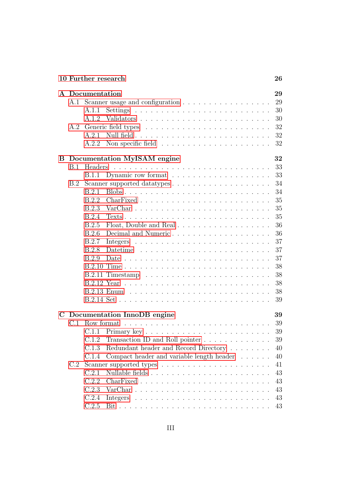|             |     | 10 Further research                                | 26 |
|-------------|-----|----------------------------------------------------|----|
|             |     | A Documentation                                    | 29 |
|             |     |                                                    | 29 |
|             |     | A.1.1                                              | 30 |
|             |     |                                                    | 30 |
|             | A.2 |                                                    | 32 |
|             |     | A.2.1                                              | 32 |
|             |     | A.2.2                                              | 32 |
|             |     | <b>B</b> Documentation MyISAM engine               | 32 |
|             | B.1 |                                                    | 33 |
|             |     |                                                    | 33 |
|             | B.2 |                                                    | 34 |
|             |     | B.2.1                                              | 34 |
|             |     | B.2.2                                              | 35 |
|             |     | B.2.3                                              | 35 |
|             |     | B.2.4                                              | 35 |
|             |     | Float, Double and Real<br>B.2.5                    | 36 |
|             |     | B.2.6                                              | 36 |
|             |     | B.2.7                                              | 37 |
|             |     | B.2.8                                              | 37 |
|             |     | B.2.9                                              | 37 |
|             |     |                                                    | 38 |
|             |     |                                                    | 38 |
|             |     |                                                    | 38 |
|             |     |                                                    | 38 |
|             |     |                                                    | 39 |
| $\mathbf C$ |     | Documentation InnoDB engine                        | 39 |
|             |     | C.1 Row format                                     | 39 |
|             |     |                                                    | 39 |
|             |     | C.1.2<br>Transaction ID and Roll pointer           | 39 |
|             |     | Redundant header and Record Directory<br>C.1.3     | 40 |
|             |     | Compact header and variable length header<br>C.1.4 | 40 |
|             | C.2 |                                                    | 41 |
|             |     | C.2.1                                              | 43 |
|             |     | C.2.2                                              | 43 |
|             |     | C.2.3                                              | 43 |
|             |     | C.2.4                                              | 43 |
|             |     | C.2.5                                              | 43 |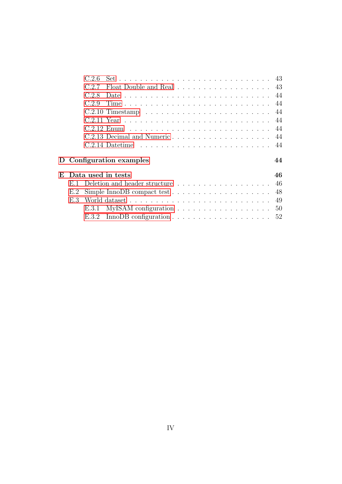|     | C.2.6                                                                        |    |
|-----|------------------------------------------------------------------------------|----|
|     | Float Double and Real 43<br>C.2.7                                            |    |
|     | C.2.8                                                                        |    |
|     | C29                                                                          |    |
|     |                                                                              |    |
|     |                                                                              |    |
|     |                                                                              |    |
|     |                                                                              |    |
|     |                                                                              |    |
|     | D Configuration examples                                                     | 44 |
|     | E Data used in tests                                                         | 46 |
|     | E.1 Deletion and header structure 46                                         |    |
| E.2 | Simple InnoDB compact test $\dots \dots \dots \dots \dots \dots \dots$       | 48 |
| E 3 |                                                                              | 49 |
|     | MyISAM configuration $\ldots \ldots \ldots \ldots \ldots \ldots 50$<br>E.3.1 |    |
|     |                                                                              |    |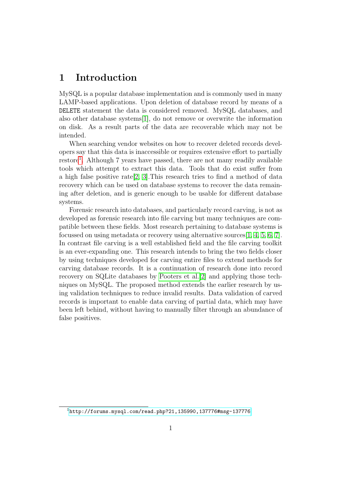# <span id="page-5-0"></span>1 Introduction

MySQL is a popular database implementation and is commonly used in many LAMP-based applications. Upon deletion of database record by means of a DELETE statement the data is considered removed. MySQL databases, and also other database systems[\[1\]](#page-31-0), do not remove or overwrite the information on disk. As a result parts of the data are recoverable which may not be intended.

When searching vendor websites on how to recover deleted records developers say that this data is inaccessible or requires extensive effort to partially restore<sup>[1](#page-5-1)</sup>. Although 7 years have passed, there are not many readily available tools which attempt to extract this data. Tools that do exist suffer from a high false positive rate[\[2,](#page-31-1) [3\]](#page-31-2).This research tries to find a method of data recovery which can be used on database systems to recover the data remaining after deletion, and is generic enough to be usable for different database systems.

Forensic research into databases, and particularly record carving, is not as developed as forensic research into file carving but many techniques are compatible between these fields. Most research pertaining to database systems is focussed on using metadata or recovery using alternative sources[\[1,](#page-31-0) [4,](#page-31-3) [5,](#page-31-4) [6,](#page-31-5) [7\]](#page-31-6). In contrast file carving is a well established field and the file carving toolkit is an ever-expanding one. This research intends to bring the two fields closer by using techniques developed for carving entire files to extend methods for carving database records. It is a continuation of research done into record recovery on SQLite databases by [Pooters et al.\[2\]](#page-31-1) and applying those techniques on MySQL. The proposed method extends the earlier research by using validation techniques to reduce invalid results. Data validation of carved records is important to enable data carving of partial data, which may have been left behind, without having to manually filter through an abundance of false positives.

<span id="page-5-1"></span> $1$ <http://forums.mysql.com/read.php?21,135990,137776#msg-137776>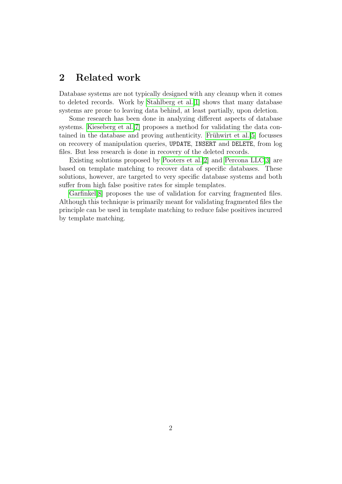# <span id="page-6-0"></span>2 Related work

Database systems are not typically designed with any cleanup when it comes to deleted records. Work by [Stahlberg et al.\[1\]](#page-31-0) shows that many database systems are prone to leaving data behind, at least partially, upon deletion.

Some research has been done in analyzing different aspects of database systems. [Kieseberg et al.\[7\]](#page-31-6) proposes a method for validating the data contained in the database and proving authenticity. Frühwirt et al.<sup>[5]</sup> focusses on recovery of manipulation queries, UPDATE, INSERT and DELETE, from log files. But less research is done in recovery of the deleted records.

Existing solutions proposed by [Pooters et al.\[2\]](#page-31-1) and [Percona LLC\[3\]](#page-31-2) are based on template matching to recover data of specific databases. These solutions, however, are targeted to very specific database systems and both suffer from high false positive rates for simple templates.

[Garfinkel\[8\]](#page-31-7) proposes the use of validation for carving fragmented files. Although this technique is primarily meant for validating fragmented files the principle can be used in template matching to reduce false positives incurred by template matching.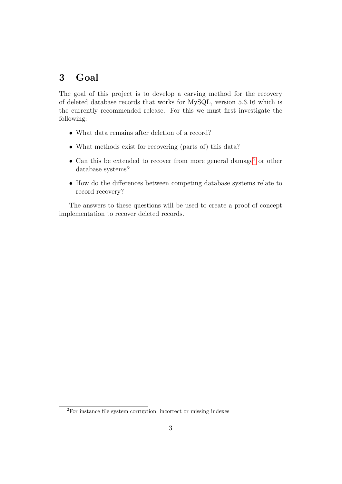# <span id="page-7-0"></span>3 Goal

The goal of this project is to develop a carving method for the recovery of deleted database records that works for MySQL, version 5.6.16 which is the currently recommended release. For this we must first investigate the following:

- What data remains after deletion of a record?
- What methods exist for recovering (parts of) this data?
- Can this be extended to recover from more general damage<sup>[2](#page-7-1)</sup> or other database systems?
- How do the differences between competing database systems relate to record recovery?

The answers to these questions will be used to create a proof of concept implementation to recover deleted records.

<span id="page-7-1"></span><sup>2</sup>For instance file system corruption, incorrect or missing indexes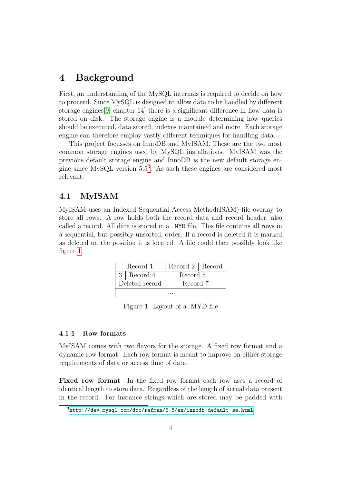# <span id="page-8-0"></span>4 Background

First, an understanding of the MySQL internals is required to decide on how to proceed. Since MySQL is designed to allow data to be handled by different storage engines[\[9,](#page-32-0) chapter 14] there is a significant difference in how data is stored on disk. The storage engine is a module determining how queries should be executed, data stored, indexes maintained and more. Each storage engine can therefore employ vastly different techniques for handling data.

This project focusses on InnoDB and MyISAM. These are the two most common storage engines used by MySQL installations. MyISAM was the previous default storage engine and InnoDB is the new default storage engine since MySQL version 5.5[3](#page-8-3) . As such these engines are considered most relevant.

# <span id="page-8-1"></span>4.1 MyISAM

<span id="page-8-4"></span>MyISAM uses an Indexed Sequential Access Method(ISAM) file overlay to store all rows. A row holds both the record data and record header, also called a record. All data is stored in a .MYD file. This file contains all rows in a sequential, but possibly unsorted, order. If a record is deleted it is marked as deleted on the position it is located. A file could then possibly look like figure [1.](#page-8-4)

| Record 1          | Record 2   Record |  |
|-------------------|-------------------|--|
| $3 \mid$ Record 4 | Record 5          |  |
| Deleted record    | Record 7          |  |
|                   |                   |  |

Figure 1: Layout of a .MYD file

### <span id="page-8-2"></span>4.1.1 Row formats

MyISAM comes with two flavors for the storage. A fixed row format and a dynamic row format. Each row format is meant to improve on either storage requirements of data or access time of data.

Fixed row format In the fixed row format each row uses a record of identical length to store data. Regardless of the length of actual data present in the record. For instance strings which are stored may be padded with

<span id="page-8-3"></span><sup>3</sup><http://dev.mysql.com/doc/refman/5.5/en/innodb-default-se.html>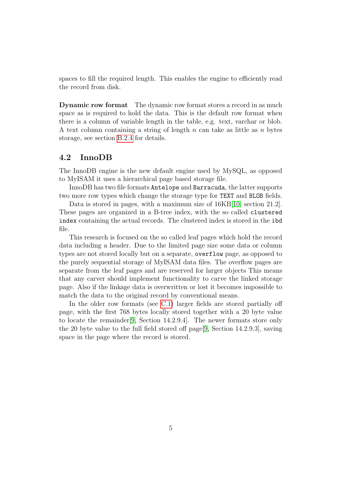spaces to fill the required length. This enables the engine to efficiently read the record from disk.

**Dynamic row format** The dynamic row format stores a record in as much space as is required to hold the data. This is the default row format when there is a column of variable length in the table, e.g. text, varchar or blob. A text column containing a string of length n can take as little as n bytes storage, see section [B.2.4](#page-39-2) for details.

# <span id="page-9-0"></span>4.2 InnoDB

The InnoDB engine is the new default engine used by MySQL, as opposed to MyISAM it uses a hierarchical page based storage file.

InnoDB has two file formats Antelope and Barracuda, the latter supports two more row types which change the storage type for TEXT and BLOB fields.

Data is stored in pages, with a maximum size of 16KB[\[10,](#page-32-1) section 21.2]. These pages are organized in a B-tree index, with the so called clustered index containing the actual records. The clustered index is stored in the ibd file.

This research is focused on the so called leaf pages which hold the record data including a header. Due to the limited page size some data or column types are not stored locally but on a separate, overflow page, as opposed to the purely sequential storage of MyISAM data files. The overflow pages are separate from the leaf pages and are reserved for larger objects This means that any carver should implement functionality to carve the linked storage page. Also if the linkage data is overwritten or lost it becomes impossible to match the data to the original record by conventional means.

In the older row formats (see [C.1\)](#page-43-2) larger fields are stored partially off page, with the first 768 bytes locally stored together with a 20 byte value to locate the remainder[\[9,](#page-32-0) Section 14.2.9.4]. The newer formats store only the 20 byte value to the full field stored off page[\[9,](#page-32-0) Section 14.2.9.3], saving space in the page where the record is stored.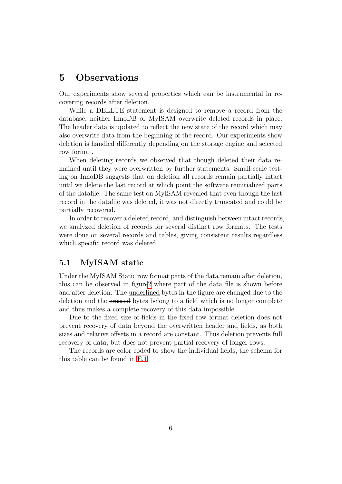# <span id="page-10-0"></span>5 Observations

Our experiments show several properties which can be instrumental in recovering records after deletion.

While a DELETE statement is designed to remove a record from the database, neither InnoDB or MyISAM overwrite deleted records in place. The header data is updated to reflect the new state of the record which may also overwrite data from the beginning of the record. Our experiments show deletion is handled differently depending on the storage engine and selected row format.

When deleting records we observed that though deleted their data remained until they were overwritten by further statements. Small scale testing on InnoDB suggests that on deletion all records remain partially intact until we delete the last record at which point the software reinitialized parts of the datafile. The same test on MyISAM revealed that even though the last record in the datafile was deleted, it was not directly truncated and could be partially recovered.

In order to recover a deleted record, and distinguish between intact records, we analyzed deletion of records for several distinct row formats. The tests were done on several records and tables, giving consistent results regardless which specific record was deleted.

# <span id="page-10-1"></span>5.1 MyISAM static

Under the MyISAM Static row format parts of the data remain after deletion, this can be observed in figur[e2](#page-11-0) where part of the data file is shown before and after deletion. The underlined bytes in the figure are changed due to the deletion and the crossed bytes belong to a field which is no longer complete and thus makes a complete recovery of this data impossible.

Due to the fixed size of fields in the fixed row format deletion does not prevent recovery of data beyond the overwritten header and fields, as both sizes and relative offsets in a record are constant. Thus deletion prevents full recovery of data, but does not prevent partial recovery of longer rows.

The records are color coded to show the individual fields, the schema for this table can be found in [E.1](#page-50-1)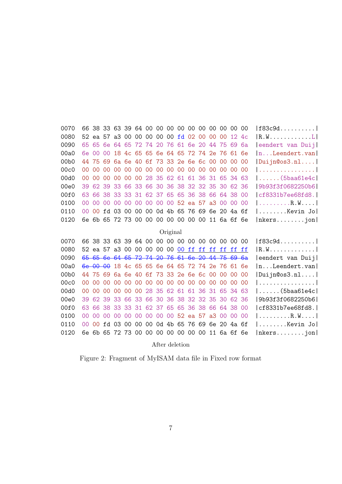<span id="page-11-0"></span>

| 0070             | 66.             |                |                |                |                 | 38 33 63 39 64 00 00 00 00 00 00 00 00 00 00 00 |                         |         |                      |    |          |                 |    |                 |                 |                | f83c9d                                     |
|------------------|-----------------|----------------|----------------|----------------|-----------------|-------------------------------------------------|-------------------------|---------|----------------------|----|----------|-----------------|----|-----------------|-----------------|----------------|--------------------------------------------|
| 0080             |                 | 52 ea 57       |                |                | a3 00           |                                                 | 00 00 00                |         | 00                   | fd | 02       | 00              | 00 | $00 \,$         | 12              | 4c             | $ R.W. \ldots \ldots \ldots L $            |
| 0090             | 65              | 65             | 6e             | 64             | 65              |                                                 | 72 74 20 76             |         |                      |    | 61 6e 20 |                 | 44 | 75              | 69              | 6a             | eendert van Duij                           |
| 00a0             | 6e.             | 00             | 0 <sup>0</sup> | 18             |                 | 4c 65 65 6e 64 65                               |                         |         |                      |    |          | 72 74 2e        |    | 76              | 61              | 6e             | $\lfloor n \ldots$ Leendert. $van \rfloor$ |
| 00 <sub>b0</sub> | 44 75           |                | 69             |                |                 | 6a 6e 40 6f 73 33 2e 6e 6c 00                   |                         |         |                      |    |          |                 |    | 00              | 00              | 00             | Duijn@os3.n1                               |
| 00c0             | OO.             | 00             | 00             | 00             | 00 <sub>o</sub> | $00\,$                                          | 00 <sup>°</sup>         |         | 00 00 00             |    | 00       | 00 <sup>°</sup> | 00 | 00              | 00              | 00             | 1 1                                        |
| 00d0             | 00 <sup>1</sup> | 00             | 0 <sup>0</sup> | 00             | 00              | 00                                              |                         |         | 28 35 62 61          |    |          | 61 36           | 31 | 65              | 34              | 63             | $  \ldots \ldots (5$ baa $61$ e $4$ c $ $  |
| 00e0             | 39              | 62             | 39             | 33             | 66              | 33                                              |                         |         | 66 30 36 38 32 32 35 |    |          |                 |    | 30              | 62 36           |                | 9b93f3f0682250b6                           |
| 00f0             | 63.             | 66             | 38             | 33             | 33              |                                                 | 31 62 37                |         | 65 65                |    |          | 36 38           | 66 |                 | 64 38           | 00             | ct8331b7ee68fd8.                           |
| 0100             | 00 <sup>2</sup> | 00             | 00             | 00             | 00 <sup>°</sup> |                                                 | 00 00 00 00 52 ea 57 a3 |         |                      |    |          |                 |    | 00 <sup>°</sup> | 00              | 00             | R . W                                      |
| 0110             | 00 <sup>2</sup> | 0 <sup>0</sup> | fd             | 0 <sub>3</sub> | 00              |                                                 | 00 00 0d 4b 65          |         |                      |    |          | 7669            |    | 6e 20 4a 6f     |                 |                | $  \ldots \ldots$ .Kevin Jo $ $            |
| 0120             | 6e.             | 6b             | 65             |                |                 | 72 73 00 00                                     |                         |         | 00 00 00             |    | 00       | 00              |    | 11 6a 6f        |                 | 6e             | $ nkers \dots jon $                        |
|                  |                 |                |                |                |                 |                                                 |                         |         | Original             |    |          |                 |    |                 |                 |                |                                            |
| 0070             |                 |                |                |                |                 | 66 38 33 63 39 64 00                            |                         |         | 00 00 00             |    |          | 00 00 00 00 00  |    |                 |                 | 00             | $ f83c9d \ldots  $                         |
| 0080             |                 |                |                |                |                 | 52 ea 57 a3 00 00 00                            |                         |         | 00 00 00 ff          |    |          | ff ff           |    | ff              | ff              | ff             | 1 R . W 1                                  |
| 0090             |                 |                |                |                |                 | 65 65 6e 64 65 72 74 20 76 61 6e 20 44 75 69 6a |                         |         |                      |    |          |                 |    |                 |                 |                | eendert van Duij                           |
| 00a0             |                 | $6e$ 00        | $\Theta$       |                |                 | 18 4c 65 65 6e 64 65 72 74 2e                   |                         |         |                      |    |          |                 |    | 76              | 61              | 6e             | $\lfloor n \ldots L$ eendert.van           |
| 00 <sub>b0</sub> |                 | 44 75          | 69             |                | 6a 6e 40        |                                                 | 6f 73 33 2e 6e 6c 00    |         |                      |    |          |                 |    | 00              | 00 <sup>°</sup> | 00             | Duijn@os3.n1                               |
| 00c0             | OO.             | 0 <sup>0</sup> | 0 <sup>0</sup> | 00             | 00              | 00                                              |                         |         | 00 00 00 00          |    | $00\,$   | 00              | 00 | 00 <sup>°</sup> | 00 <sup>°</sup> | 0 <sup>0</sup> |                                            |
| 00d0             | 00 <sup>2</sup> | 00             | 0 <sup>0</sup> | 00             | 00              | 00                                              | 28                      | 35      | 62                   | 61 | 61       | 36              | 31 | 65              | 34              | 63             | $ \ldots \ldots (5$ baa $61$ e $4$ c $ $   |
| 00e0             | 39              | 62             | 39             | 33             | 66              | 33                                              | 66                      | 30      | 36 38                |    | 32       | 32 35           |    | 30              | 62 36           |                | 9b93f3f0682250b6                           |
| 00f0             | 63              | 66             | 38             | 33             | 33              | 31                                              |                         | 62 37   | 65                   | 65 | 36       | 38              | 66 | 64              | 38              | 00             | cf8331b7ee68fd8.                           |
| 0100             | 00              | 00             | 00             | 00             | 00              | 00                                              | 00                      | 00      | 00                   |    |          | 52 ea 57        | a3 | 00              | 00              | 00             | R . W                                      |
| 0110             | $00 \,$         | 0 <sup>0</sup> | fd             | 03             | 00              | 00                                              | 00                      | $0d$ 4b |                      | 65 | 76       | 69              |    | 6e 20           | 4a 6f           |                | Kevin Jol                                  |
| 0120             |                 | 6e 6b 65       |                |                |                 | 72 73 00 00 00 00 00 00 00                      |                         |         |                      |    |          |                 |    | 11 6a 6f 6e     |                 |                | nkersjon                                   |

After deletion

Figure 2: Fragment of MyISAM data file in Fixed row format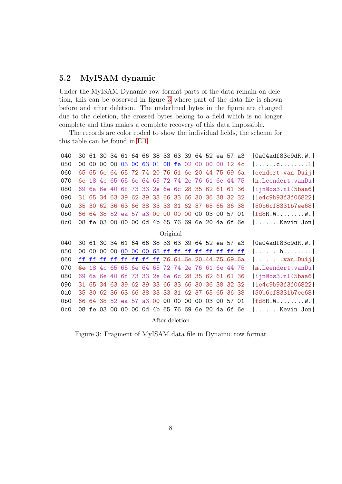# <span id="page-12-0"></span>5.2 MyISAM dynamic

Under the MyISAM Dynamic row format parts of the data remain on deletion, this can be observed in figure [3](#page-12-1) where part of the data file is shown before and after deletion. The underlined bytes in the figure are changed due to the deletion, the crossed bytes belong to a field which is no longer complete and thus makes a complete recovery of this data impossible.

The records are color coded to show the individual fields, the schema for this table can be found in [E.1](#page-50-1)

<span id="page-12-1"></span>

| 040             |                 |    |                 |                |    |        | 30 61 30 34 61 64 66 38 33 63 39 64 52 ea 57 a3 |          |       |  |             |       | 0a04adf83c9dR.W.                                        |
|-----------------|-----------------|----|-----------------|----------------|----|--------|-------------------------------------------------|----------|-------|--|-------------|-------|---------------------------------------------------------|
| 050             | 00 <sup>1</sup> |    |                 |                |    |        | 00 00 00 03 00 63 01 08 fe 02 00 00 00          |          |       |  |             | 12 4c | $ \ldots \ldots$ c $\ldots \ldots \ldots \ldots \ldots$ |
| 060             |                 |    |                 |                |    |        | 65 65 6e 64 65 72 74 20 76 61 6e 20 44 75 69 6a |          |       |  |             |       | eendert van Duijl                                       |
| 070             | 6e.             |    |                 |                |    |        | 18 4c 65 65 6e 64 65 72 74 2e 76 61 6e 44 75    |          |       |  |             |       | n.Leendert.vanDu                                        |
| 080             | 69.             |    |                 |                |    |        | 6a 6e 40 6f 73 33 2e 6e 6c 28 35 62 61 61 36    |          |       |  |             |       | $\left  i \right $ i jn@os3.nl(5baa6                    |
| 090             |                 |    |                 |                |    |        | 31 65 34 63 39 62 39 33 66 33 66 30 36 38 32 32 |          |       |  |             |       | 1e4c9b93f3f06822                                        |
| 0a0             |                 |    |                 |                |    |        | 35 30 62 36 63 66 38 33 33 31 62 37 65 65 36 38 |          |       |  |             |       | 50b6cf8331b7ee68                                        |
| 0 <sub>b0</sub> |                 |    |                 |                |    |        | 66 64 38 52 ea 57 a3 00 00 00 00 00 03 00 57 01 |          |       |  |             |       | $ fd8R.W. \ldots \ldots W. $                            |
| 0c0             |                 |    |                 |                |    |        | 08 fe 03 00 00 00 0d 4b 65 76 69 6e 20 4a 6f 6e |          |       |  |             |       | Kevin Jon                                               |
|                 |                 |    |                 |                |    |        |                                                 | Original |       |  |             |       |                                                         |
| 040             |                 |    |                 |                |    |        | 30 61 30 34 61 64 66 38 33 63 39 64 52 ea 57 a3 |          |       |  |             |       | Oa04adf83c9dR.W.                                        |
| 050             | 00              | 00 | 00 <sup>°</sup> | 00             | 00 | $00\,$ | 00 68 ff ff ff ff ff ff ff ff                   |          |       |  |             |       | $  \dots \dots h \dots \dots  $                         |
| 060             |                 |    |                 |                |    |        | ff ff ff ff ff ff ff ff 76 61 6e 20 44 75 69 6a |          |       |  |             |       | <del>van Duij</del>                                     |
| 070             |                 |    |                 |                |    |        | 6e 18 4c 65 65 6e 64 65 72 74 2e 76 61 6e 44 75 |          |       |  |             |       | n.Leendert.vanDu                                        |
| 080             | 69              |    |                 |                |    |        | 6a 6e 40 6f 73 33 2e 6e 6c 28 35 62 61 61 36    |          |       |  |             |       | $\left  i \right $ i jn@os3.nl(5baa6                    |
| 090             |                 |    |                 |                |    |        | 31 65 34 63 39 62 39 33 66 33 66 30 36 38 32 32 |          |       |  |             |       | 1e4c9b93f3f06822                                        |
| 0a0             |                 |    |                 |                |    |        | 35 30 62 36 63 66 38 33 33 31 62 37 65 65 36 38 |          |       |  |             |       | 50b6cf8331b7ee68                                        |
| 0 <sub>b0</sub> |                 |    |                 |                |    |        | 66 64 38 52 ea 57 a3 00                         |          | 00 00 |  | 00 00 03 00 | 57 01 | fd8R.WW.                                                |
| 0c0             |                 |    |                 | 08 fe 03 00 00 |    |        | 00 0d 4b 65 76 69 6e 20 4a 6f 6e                |          |       |  |             |       | $\ldots \ldots$ .Kevin Jon $\vert$                      |
|                 |                 |    |                 |                |    |        |                                                 |          |       |  |             |       |                                                         |

After deletion

Figure 3: Fragment of MyISAM data file in Dynamic row format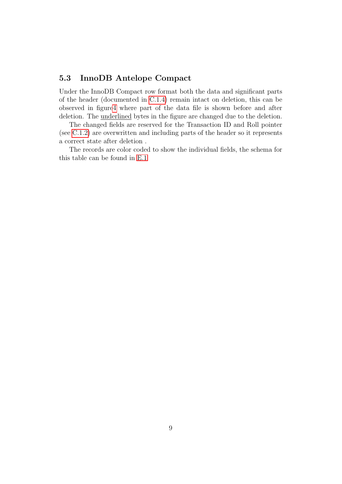# <span id="page-13-0"></span>5.3 InnoDB Antelope Compact

Under the InnoDB Compact row format both the data and significant parts of the header (documented in [C.1.4\)](#page-44-1) remain intact on deletion, this can be observed in figur[e4](#page-14-0) where part of the data file is shown before and after deletion. The underlined bytes in the figure are changed due to the deletion.

The changed fields are reserved for the Transaction ID and Roll pointer (see [C.1.2\)](#page-43-4) are overwritten and including parts of the header so it represents a correct state after deletion .

The records are color coded to show the individual fields, the schema for this table can be found in [E.1](#page-50-1)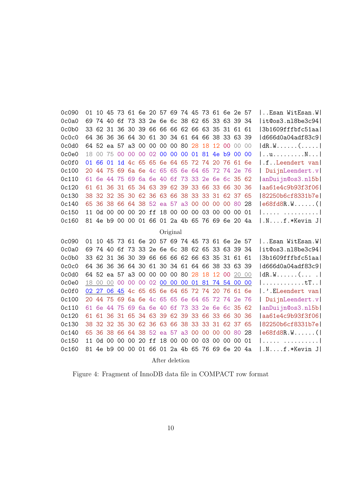<span id="page-14-0"></span>

| 0c090 | 01 |             | 10 45    |                 |                 | 73 61 6e 20 57 69 74 45 73 61 6e 2e 57          |          |          |       |                               |       |       |                |       |     | Esan WitEsan.W                                     |
|-------|----|-------------|----------|-----------------|-----------------|-------------------------------------------------|----------|----------|-------|-------------------------------|-------|-------|----------------|-------|-----|----------------------------------------------------|
| 0c0a0 |    |             |          |                 |                 | 69 74 40 6f 73 33 2e 6e 6c 38 62 65 33 63 39 34 |          |          |       |                               |       |       |                |       |     | it@os3.n18be3c94                                   |
| 0c0b0 |    |             |          |                 |                 | 33 62 31 36 30 39 66 66 66 62 66 63 35          |          |          |       |                               |       |       | 31 61 61       |       |     | 3b1609fffbfc51aa                                   |
| 0c0c0 |    |             |          |                 |                 | 64 36 36 36 64 30 61 30 34 61 64 66 38 33 63 39 |          |          |       |                               |       |       |                |       |     | d666d0a04adf83c9                                   |
| 0c0d0 |    |             |          |                 |                 | 64 52 ea 57 a3 00 00 00 00 80 28 18             |          |          |       |                               |       |       | 12 00 00       |       | 00  | $ dR.W$ $($                                        |
| 0c0e0 | 18 |             |          |                 |                 | 00 75 00 00 00 02 00 00 00 01 81 4e b9 00 00    |          |          |       |                               |       |       |                |       |     | uv                                                 |
| 0c0f0 | 01 | 66          | 01       |                 |                 | 1d 4c 65 65                                     |          |          |       | 6e 64 65 72 74                |       |       | 20 76 61       |       | 6e  | I.fLeendert van                                    |
| 0c100 | 20 |             |          |                 |                 | 44 75 69 6a 6e 4c 65 65 6e 64 65 72 74 2e       |          |          |       |                               |       |       |                |       | -76 | DuijnLeendert.v                                    |
| 0c110 | 61 |             |          |                 |                 | 6e 44 75 69 6a 6e 40                            |          |          |       | 6f 73 33 2e 6e 6c 35 62       |       |       |                |       |     | anDuijn@os3.nl5b                                   |
| 0c120 | 61 |             |          |                 |                 | 61 36 31 65 34 63 39 62 39 33 66 33 66 30       |          |          |       |                               |       |       |                |       | -36 | aa61e4c9b93f3f06                                   |
| 0c130 |    |             |          |                 |                 | 38 32 32 35 30 62 36 63                         |          |          |       | 66 38 33 33 31 62 37          |       |       |                |       | 65  | 82250b6cf8331b7e                                   |
| 0c140 |    |             |          |                 |                 | 65 36 38 66 64 38 52 ea 57 a3                   |          |          |       | 00                            | 00    | 00    | 00 80          |       | 28  | $ e68f$ d $8R.W$                                   |
| 0c150 | 11 |             |          |                 |                 | 0d 00 00 00 20 ff 18 00 00 00                   |          |          |       |                               |       |       | 03 00 00 00 01 |       |     |                                                    |
| 0c160 | 81 |             |          |                 |                 | 4e b9 00 00 01 66 01 2a 4b 65 76 69 6e 20 4a    |          |          |       |                               |       |       |                |       |     | $ Nf.*$ Kevin J                                    |
|       |    |             |          |                 |                 |                                                 |          | Original |       |                               |       |       |                |       |     |                                                    |
| 0c090 |    |             |          |                 |                 | 01 10 45 73 61 6e 20 57 69 74 45 73 61 6e 2e 57 |          |          |       |                               |       |       |                |       |     | Esan WitEsan.W                                     |
| 0c0a0 | 69 |             |          |                 |                 | 74 40 6f 73 33 2e 6e 6c 38 62 65 33 63 39 34    |          |          |       |                               |       |       |                |       |     | it@os3.n18be3c94                                   |
| 0c0b0 |    |             |          |                 |                 | 33 62 31 36 30 39 66 66 66 62 66 63 35 31 61 61 |          |          |       |                               |       |       |                |       |     | 3b1609fffbfc51aa                                   |
| 0c0c0 |    |             |          |                 |                 | 64 36 36 36 64 30 61 30 34 61 64 66 38 33 63    |          |          |       |                               |       |       |                |       | -39 | d666d0a04adf83c9                                   |
| 0c0d0 |    |             |          |                 |                 | 64 52 ea 57 a3 00 00 00 00 80 28                |          |          |       |                               | 18    | 12 00 |                | 20    | 00  | $ dR.W$ $( \ldots$                                 |
| 0c0e0 |    | 18 00       | 00       | 00 <sup>°</sup> | 00 <sup>°</sup> |                                                 |          |          |       | 00 02 00 00 00 01 81 74 54 00 |       |       |                |       | 00  | $  \ldots \ldots \ldots \ldots \text{tr} \ldots  $ |
| 0c0f0 |    | 02 27       |          | 06 45           |                 | 4c 65 65 6e 64 65 72 74 20 76 61                |          |          |       |                               |       |       |                |       | 6e  | .'.ELeendert van                                   |
| 0c100 | 20 |             | 44 75    | 69              |                 | 6a 6e 4c 65 65 6e 64 65 72 74 2e                |          |          |       |                               |       |       |                |       | 76  | DuijnLeendert.v                                    |
| 0c110 | 61 |             | 6e 44 75 |                 | 69              |                                                 | 6a 6e 40 | 6f       | 73 33 |                               | 2e 6e |       | 6c 35 62       |       |     | anDuijn@os3.nl5b                                   |
| 0c120 | 61 |             |          |                 |                 | 61 36 31 65 34 63 39                            |          |          |       | 62 39 33 66 33 66             |       |       |                | -30   | 36  | aa61e4c9b93f3f06                                   |
| 0c130 |    | 38 32 32 35 |          |                 |                 | 30 62 36 63                                     |          | 66       |       | 38 33                         | 33    | 31    |                | 62 37 | 65  | 82250b6cf8331b7el                                  |
| 0c140 | 65 |             |          |                 |                 | 36 38 66 64 38 52 ea 57 a3 00                   |          |          |       |                               | 00    | 00    | 00 80          |       | 28  | $ e68f$ d $8R.W$                                   |
| 0c150 | 11 |             |          |                 |                 | 0d 00 00 00 20 ff 18 00 00 00                   |          |          |       |                               |       |       | 03 00 00 00 01 |       |     |                                                    |
| 0c160 |    |             |          |                 |                 | 81 4e b9 00 00 01 66 01 2a 4b 65 76 69 6e 20 4a |          |          |       |                               |       |       |                |       |     | $ Nf.*$ Kevin J                                    |
|       |    |             |          |                 |                 |                                                 |          |          |       |                               |       |       |                |       |     |                                                    |

After deletion

Figure 4: Fragment of InnoDB data file in COMPACT row format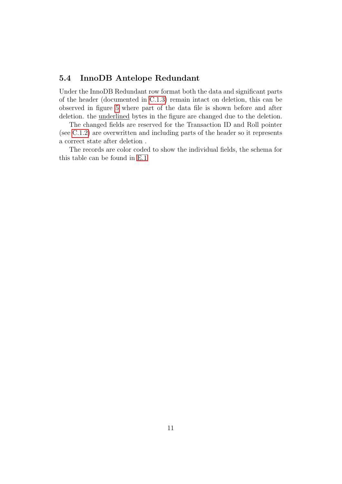# <span id="page-15-0"></span>5.4 InnoDB Antelope Redundant

Under the InnoDB Redundant row format both the data and significant parts of the header (documented in [C.1.3\)](#page-44-0) remain intact on deletion, this can be observed in figure [5](#page-16-0) where part of the data file is shown before and after deletion. the underlined bytes in the figure are changed due to the deletion.

The changed fields are reserved for the Transaction ID and Roll pointer (see [C.1.2\)](#page-43-4) are overwritten and including parts of the header so it represents a correct state after deletion .

The records are color coded to show the individual fields, the schema for this table can be found in [E.1](#page-50-1)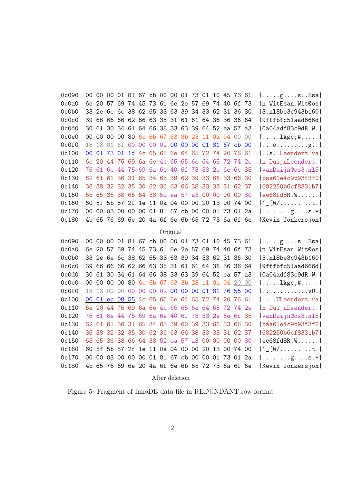<span id="page-16-0"></span>

| 0c090 |  |             |  |  |          |  |  | 00 00 00 01 81 67 cb 00 00 01 73 01 10 45 73 61 |  | $  \ldots g \ldots s \ldots s$                    |
|-------|--|-------------|--|--|----------|--|--|-------------------------------------------------|--|---------------------------------------------------|
| 0c0a0 |  |             |  |  |          |  |  | 6e 20 57 69 74 45 73 61 6e 2e 57 69 74 40 6f 73 |  | In WitEsan. Wit@os                                |
| 0c0b0 |  |             |  |  |          |  |  | 33 2e 6e 6c 38 62 65 33 63 39 34 33 62 31 36 30 |  | 3.n18be3c943b160                                  |
| 0c0c0 |  |             |  |  |          |  |  | 39 66 66 66 62 66 63 35 31 61 61 64 36 36 36 64 |  | 9fffbfc51aad666d                                  |
| 0c0d0 |  |             |  |  |          |  |  | 30 61 30 34 61 64 66 38 33 63 39 64 52 ea 57 a3 |  | 0a04adf83c9dR.W.                                  |
| Oc0e0 |  |             |  |  |          |  |  | 00 00 00 00 80 6c 6b 67 63 3b 23 11 0a 04 00 00 |  | $  \ldots \ldots \text{lkgc}; \# \ldots \ldots  $ |
| 0c0f0 |  |             |  |  |          |  |  | 18 13 01 6f 00 00 00 02 00 00 00 01 81 67 cb 00 |  |                                                   |
| 0c100 |  | 00 01 73 01 |  |  |          |  |  | 1d 4c 65 65 6e 64 65 72 74 20 76 61             |  | sLeendert va                                      |
| 0c110 |  |             |  |  |          |  |  | 6e 20 44 75 69 6a 6e 4c 65 65 6e 64 65 72 74 2e |  | n DuijnLeendert.                                  |
| 0c120 |  |             |  |  |          |  |  | 76 61 6e 44 75 69 6a 6e 40 6f 73 33 2e 6e 6c 35 |  | vanDuijn@os3.nl5                                  |
| 0c130 |  |             |  |  |          |  |  | 62 61 61 36 31 65 34 63 39 62 39 33 66 33 66 30 |  | baa61e4c9b93f3f0                                  |
| 0c140 |  |             |  |  |          |  |  | 36 38 32 32 35 30 62 36 63 66 38 33 33 31 62 37 |  | 682250b6cf8331b7                                  |
| 0c150 |  |             |  |  |          |  |  | 65 65 36 38 66 64 38 52 ea 57 a3 00 00 00 00 80 |  | ee68fd8R.W                                        |
| 0c160 |  |             |  |  |          |  |  | 60 5f 5b 57 2f 1e 11 0a 04 00 00 20 13 00 74 00 |  | $ C_{\_}[W/\dots \dots \dots \dots \dots]$        |
| 0c170 |  |             |  |  |          |  |  | 00 00 03 00 00 00 01 81 67 cb 00 00 01 73 01 2a |  | $  \ldots \ldots \ldots$ g $s.* $                 |
| 0c180 |  |             |  |  |          |  |  | 4b 65 76 69 6e 20 4a 6f 6e 6b 65 72 73 6a 6f 6e |  | Kevin Jonkersjon                                  |
|       |  |             |  |  | Original |  |  |                                                 |  |                                                   |
| 0c090 |  |             |  |  |          |  |  | 00 00 00 01 81 67 cb 00 00 01 73 01 10 45 73 61 |  | $  \ldots$ .gsEsa                                 |
| 0c0a0 |  |             |  |  |          |  |  | 6e 20 57 69 74 45 73 61 6e 2e 57 69 74 40 6f 73 |  | In WitEsan. Wit@os                                |
| 0c0b0 |  |             |  |  |          |  |  | 33 2e 6e 6c 38 62 65 33 63 39 34 33 62 31 36 30 |  | 3.nl8be3c943b160                                  |
| 0c0c0 |  |             |  |  |          |  |  | 39 66 66 66 62 66 63 35 31 61 61 64 36 36 36 64 |  | 9fffbfc51aad666d                                  |
| 0c0d0 |  |             |  |  |          |  |  | 30 61 30 34 61 64 66 38 33 63 39 64 52 ea 57 a3 |  | 0a04adf83c9dR.W.                                  |
| 0c0e0 |  |             |  |  |          |  |  | 00 00 00 00 80 6c 6b 67 63 3b 23 11 0a 04 20 00 |  | $ \ldots \ldots \text{lkgc}; \# \ldots  $         |
| 0c0f0 |  |             |  |  |          |  |  | 18 13 00 00 00 00 00 02 00 00 00 01 81 76 55 00 |  |                                                   |
| 0c100 |  |             |  |  |          |  |  | 00 01 ec 08 55 4c 65 65 6e 64 65 72 74 20 76 61 |  | ULeendert va                                      |
| 0c110 |  |             |  |  |          |  |  | 6e 20 44 75 69 6a 6e 4c 65 65 6e 64 65 72 74 2e |  | n DuijnLeendert.                                  |
| 0c120 |  |             |  |  |          |  |  | 76 61 6e 44 75 69 6a 6e 40 6f 73 33 2e 6e 6c 35 |  | vanDuijn@os3.nl5                                  |
| 0c130 |  |             |  |  |          |  |  | 62 61 61 36 31 65 34 63 39 62 39 33 66 33 66 30 |  | baa61e4c9b93f3f0                                  |
| 0c140 |  |             |  |  |          |  |  | 36 38 32 32 35 30 62 36 63 66 38 33 33 31 62 37 |  | 682250b6cf8331b7                                  |
| 0c150 |  |             |  |  |          |  |  | 65 65 36 38 66 64 38 52 ea 57 a3 00 00 00 00 80 |  | ee68fd8R.W                                        |
| 0c160 |  |             |  |  |          |  |  | 60 5f 5b 57 2f 1e 11 0a 04 00 00 20 13 00 74 00 |  | $ C_{\_}[W/\dots \dots \dots \dots \dots]$        |
| 0c170 |  |             |  |  |          |  |  | 00 00 03 00 00 00 01 81 67 cb 00 00 01 73 01 2a |  | $  \ldots \ldots \ldots$ g $s.* $                 |
| 0c180 |  |             |  |  |          |  |  | 4b 65 76 69 6e 20 4a 6f 6e 6b 65 72 73 6a 6f 6e |  | Kevin Jonkersjon                                  |
|       |  |             |  |  |          |  |  |                                                 |  |                                                   |

After deletion

Figure 5: Fragment of InnoDB data file in REDUNDANT row format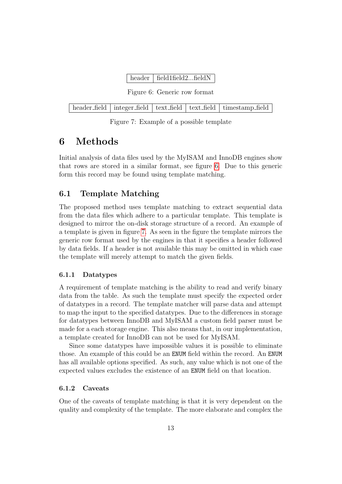| header   field1field2field $N$ |
|--------------------------------|
|--------------------------------|

Figure 6: Generic row format

<span id="page-17-5"></span><span id="page-17-4"></span>

|  |  |  |  | header_field   integer_field   text_field   text_field   timestamp_field |
|--|--|--|--|--------------------------------------------------------------------------|
|--|--|--|--|--------------------------------------------------------------------------|

Figure 7: Example of a possible template

# <span id="page-17-0"></span>6 Methods

Initial analysis of data files used by the MyISAM and InnoDB engines show that rows are stored in a similar format, see figure [6.](#page-17-4) Due to this generic form this record may be found using template matching.

# <span id="page-17-1"></span>6.1 Template Matching

The proposed method uses template matching to extract sequential data from the data files which adhere to a particular template. This template is designed to mirror the on-disk storage structure of a record. An example of a template is given in figure [7.](#page-17-5) As seen in the figure the template mirrors the generic row format used by the engines in that it specifies a header followed by data fields. If a header is not available this may be omitted in which case the template will merely attempt to match the given fields.

### <span id="page-17-2"></span>6.1.1 Datatypes

A requirement of template matching is the ability to read and verify binary data from the table. As such the template must specify the expected order of datatypes in a record. The template matcher will parse data and attempt to map the input to the specified datatypes. Due to the differences in storage for datatypes between InnoDB and MyISAM a custom field parser must be made for a each storage engine. This also means that, in our implementation, a template created for InnoDB can not be used for MyISAM.

Since some datatypes have impossible values it is possible to eliminate those. An example of this could be an ENUM field within the record. An ENUM has all available options specified. As such, any value which is not one of the expected values excludes the existence of an ENUM field on that location.

### <span id="page-17-3"></span>6.1.2 Caveats

One of the caveats of template matching is that it is very dependent on the quality and complexity of the template. The more elaborate and complex the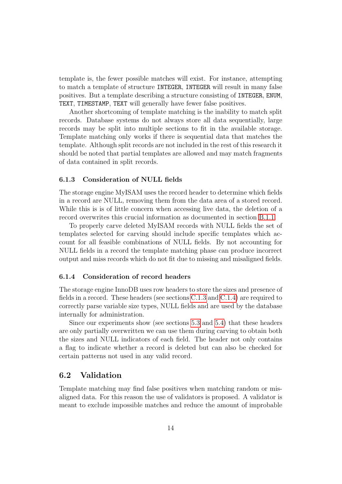template is, the fewer possible matches will exist. For instance, attempting to match a template of structure INTEGER, INTEGER will result in many false positives. But a template describing a structure consisting of INTEGER, ENUM, TEXT, TIMESTAMP, TEXT will generally have fewer false positives.

Another shortcoming of template matching is the inability to match split records. Database systems do not always store all data sequentially, large records may be split into multiple sections to fit in the available storage. Template matching only works if there is sequential data that matches the template. Although split records are not included in the rest of this research it should be noted that partial templates are allowed and may match fragments of data contained in split records.

### <span id="page-18-0"></span>6.1.3 Consideration of NULL fields

The storage engine MyISAM uses the record header to determine which fields in a record are NULL, removing them from the data area of a stored record. While this is is of little concern when accessing live data, the deletion of a record overwrites this crucial information as documented in section [B.1.1.](#page-37-1)

To properly carve deleted MyISAM records with NULL fields the set of templates selected for carving should include specific templates which account for all feasible combinations of NULL fields. By not accounting for NULL fields in a record the template matching phase can produce incorrect output and miss records which do not fit due to missing and misaligned fields.

### <span id="page-18-1"></span>6.1.4 Consideration of record headers

The storage engine InnoDB uses row headers to store the sizes and presence of fields in a record. These headers (see sections [C.1.3](#page-44-0) and [C.1.4\)](#page-44-1) are required to correctly parse variable size types, NULL fields and are used by the database internally for administration.

Since our experiments show (see sections [5.3](#page-13-0) and [5.4\)](#page-15-0) that these headers are only partially overwritten we can use them during carving to obtain both the sizes and NULL indicators of each field. The header not only contains a flag to indicate whether a record is deleted but can also be checked for certain patterns not used in any valid record.

# <span id="page-18-2"></span>6.2 Validation

Template matching may find false positives when matching random or misaligned data. For this reason the use of validators is proposed. A validator is meant to exclude impossible matches and reduce the amount of improbable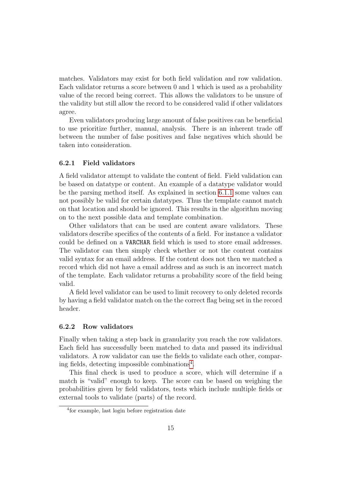matches. Validators may exist for both field validation and row validation. Each validator returns a score between 0 and 1 which is used as a probability value of the record being correct. This allows the validators to be unsure of the validity but still allow the record to be considered valid if other validators agree.

Even validators producing large amount of false positives can be beneficial to use prioritize further, manual, analysis. There is an inherent trade off between the number of false positives and false negatives which should be taken into consideration.

#### <span id="page-19-0"></span>6.2.1 Field validators

A field validator attempt to validate the content of field. Field validation can be based on datatype or content. An example of a datatype validator would be the parsing method itself. As explained in section [6.1.1](#page-17-2) some values can not possibly be valid for certain datatypes. Thus the template cannot match on that location and should be ignored. This results in the algorithm moving on to the next possible data and template combination.

Other validators that can be used are content aware validators. These validators describe specifics of the contents of a field. For instance a validator could be defined on a VARCHAR field which is used to store email addresses. The validator can then simply check whether or not the content contains valid syntax for an email address. If the content does not then we matched a record which did not have a email address and as such is an incorrect match of the template. Each validator returns a probability score of the field being valid.

A field level validator can be used to limit recovery to only deleted records by having a field validator match on the the correct flag being set in the record header.

### <span id="page-19-1"></span>6.2.2 Row validators

Finally when taking a step back in granularity you reach the row validators. Each field has successfully been matched to data and passed its individual validators. A row validator can use the fields to validate each other, comparing fields, detecting impossible combinations[4](#page-19-2) .

This final check is used to produce a score, which will determine if a match is "valid" enough to keep. The score can be based on weighing the probabilities given by field validators, tests which include multiple fields or external tools to validate (parts) of the record.

<span id="page-19-2"></span><sup>4</sup> for example, last login before registration date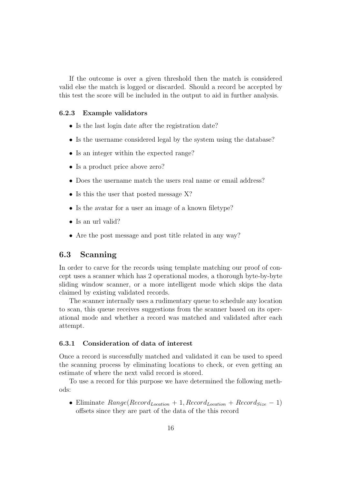If the outcome is over a given threshold then the match is considered valid else the match is logged or discarded. Should a record be accepted by this test the score will be included in the output to aid in further analysis.

#### <span id="page-20-0"></span>6.2.3 Example validators

- Is the last login date after the registration date?
- Is the username considered legal by the system using the database?
- Is an integer within the expected range?
- Is a product price above zero?
- Does the username match the users real name or email address?
- Is this the user that posted message X?
- Is the avatar for a user an image of a known filetype?
- Is an url valid?
- Are the post message and post title related in any way?

# <span id="page-20-1"></span>6.3 Scanning

In order to carve for the records using template matching our proof of concept uses a scanner which has 2 operational modes, a thorough byte-by-byte sliding window scanner, or a more intelligent mode which skips the data claimed by existing validated records.

The scanner internally uses a rudimentary queue to schedule any location to scan, this queue receives suggestions from the scanner based on its operational mode and whether a record was matched and validated after each attempt.

# <span id="page-20-2"></span>6.3.1 Consideration of data of interest

Once a record is successfully matched and validated it can be used to speed the scanning process by eliminating locations to check, or even getting an estimate of where the next valid record is stored.

To use a record for this purpose we have determined the following methods:

• Eliminate  $Range(Record_{Location} + 1, Record_{Location} + Record_{osc})$ offsets since they are part of the data of the this record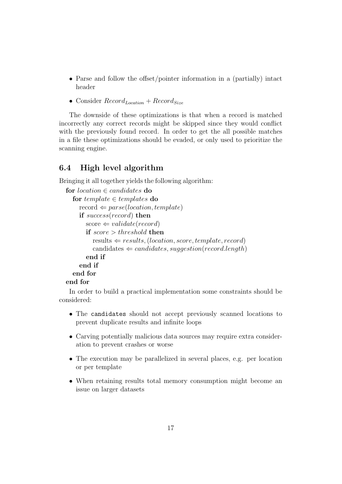- Parse and follow the offset/pointer information in a (partially) intact header
- Consider  $Record<sub>Location</sub> + Record<sub>Size</sub>$

The downside of these optimizations is that when a record is matched incorrectly any correct records might be skipped since they would conflict with the previously found record. In order to get the all possible matches in a file these optimizations should be evaded, or only used to prioritize the scanning engine.

# <span id="page-21-0"></span>6.4 High level algorithm

Bringing it all together yields the following algorithm:

```
for location \in candidates do
  for template \in templates do
    record \Leftarrow parse(location, template)if success(record) then
       score \Leftarrow validate(record)if score > threshold then
          results \Leftarrow results, (location, score, template, record)
          c\text{andidates} \Leftarrow candidates, suageston(record.length)end if
    end if
  end for
end for
```
In order to build a practical implementation some constraints should be considered:

- The candidates should not accept previously scanned locations to prevent duplicate results and infinite loops
- Carving potentially malicious data sources may require extra consideration to prevent crashes or worse
- The execution may be parallelized in several places, e.g. per location or per template
- When retaining results total memory consumption might become an issue on larger datasets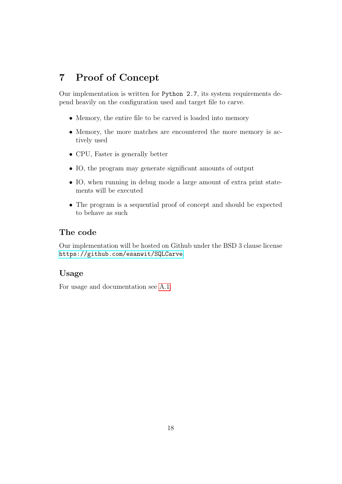# <span id="page-22-0"></span>7 Proof of Concept

Our implementation is written for Python 2.7, its system requirements depend heavily on the configuration used and target file to carve.

- Memory, the entire file to be carved is loaded into memory
- Memory, the more matches are encountered the more memory is actively used
- CPU, Faster is generally better
- IO, the program may generate significant amounts of output
- IO, when running in debug mode a large amount of extra print statements will be executed
- The program is a sequential proof of concept and should be expected to behave as such

# The code

Our implementation will be hosted on Github under the BSD 3 clause license <https://github.com/esanwit/SQLCarve>.

# Usage

For usage and documentation see [A.1.](#page-33-1)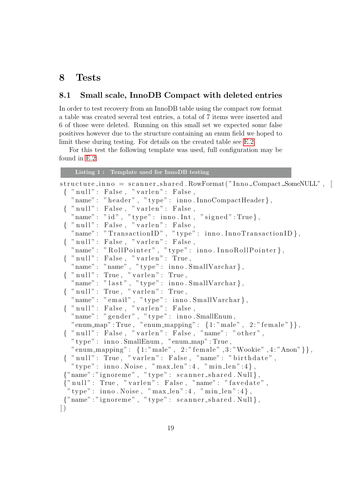# <span id="page-23-0"></span>8 Tests

# <span id="page-23-1"></span>8.1 Small scale, InnoDB Compact with deleted entries

In order to test recovery from an InnoDB table using the compact row format a table was created several test entries, a total of 7 items were inserted and 6 of those were deleted. Running on this small set we expected some false positives however due to the structure containing an enum field we hoped to limit these during testing. For details on the created table see [E.2.](#page-52-1)

For this test the following template was used, full configuration may be found in [E.2:](#page-52-1)

<span id="page-23-2"></span>

|         | Listing 1: Template used for InnoDB testing                        |
|---------|--------------------------------------------------------------------|
|         | structure_inno = scanner_shared.RowFormat("Inno_Compact_SomeNULL", |
|         | { "null": False, "varlen": False,                                  |
|         | "name": "header", "type": inno.InnoCompactHeader},                 |
|         | $\{$ "null": False, "varlen": False,                               |
|         | "name": "id", "type": inno.Int, "signed":True},                    |
|         | { " null": False, " varlen": False,                                |
|         | "name": "TransactionID", "type": inno.InnoTransactionID},          |
|         | { " null": False, " varlen": False,                                |
|         | "name": "RollPointer", "type": inno.InnoRollPointer},              |
|         | $\{$ "null": False, "varlen": True,                                |
|         | "name": "name", "type": inno. SmallVarchar},                       |
|         | $\{$ "null": True, "varlen": True,                                 |
|         | "name": "last", "type": inno. SmallVarchar},                       |
|         | $\{$ "null": True, "varlen": True,                                 |
|         | "name": "email", "type": inno. SmallVarchar},                      |
|         | { "null": False, "varlen": False,                                  |
|         | "name": "gender", "type": inno.SmallEnum,                          |
|         | "enum_map":True, "enum_mapping": $\{1:$ "male", $2:$ "female"}},   |
|         | { "null": False, "varlen": False, "name": "other",                 |
|         | "type": inno.SmallEnum, "enum_map":True,                           |
|         | "enum_mapping": {1:"male", 2:"female", 3:"Wookie", 4:"Anon" } },   |
|         | { "null": True, "varlen": False, "name": "birthdate",              |
|         | "type": inno. Noise, "max_len":4, "min_len":4},                    |
|         | {"name":"ignoreme", "type": scanner_shared.Null},                  |
|         | {"null": True, "varlen": False, "name": "favedate",                |
|         | "type": inno. Noise, "max_len":4, "min_len":4},                    |
|         | {"name":"ignoreme", "type": scanner_shared.Null},                  |
| $\big)$ |                                                                    |
|         |                                                                    |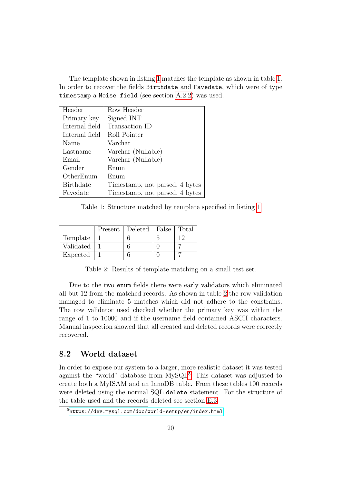The template shown in listing [1](#page-23-2) matches the template as shown in table [1.](#page-24-1) In order to recover the fields Birthdate and Favedate, which were of type timestamp a Noise field (see section [A.2.2\)](#page-36-2) was used.

<span id="page-24-1"></span>

| Header           | Row Header                     |
|------------------|--------------------------------|
| Primary key      | Signed INT                     |
| Internal field   | Transaction ID                 |
| Internal field   | Roll Pointer                   |
| Name             | Varchar                        |
| Lastname         | Varchar (Nullable)             |
| Email            | Varchar (Nullable)             |
| Gender           | Enum                           |
| OtherEnum        | Enum                           |
| <b>Birthdate</b> | Timestamp, not parsed, 4 bytes |
| Favedate         | Timestamp, not parsed, 4 bytes |

Table 1: Structure matched by template specified in listing [1](#page-23-2)

<span id="page-24-2"></span>

|           | Present | Deleted | False | Total |
|-----------|---------|---------|-------|-------|
| Template  |         |         |       | 1 ຕ   |
| Validated |         |         |       |       |
| Expected  |         |         |       |       |

Table 2: Results of template matching on a small test set.

Due to the two enum fields there were early validators which eliminated all but 12 from the matched records. As shown in table [2](#page-24-2) the row validation managed to eliminate 5 matches which did not adhere to the constrains. The row validator used checked whether the primary key was within the range of 1 to 10000 and if the username field contained ASCII characters. Manual inspection showed that all created and deleted records were correctly recovered.

# <span id="page-24-0"></span>8.2 World dataset

In order to expose our system to a larger, more realistic dataset it was tested against the "world" database from MySQL<sup>[5](#page-24-3)</sup>. This dataset was adjusted to create both a MyISAM and an InnoDB table. From these tables 100 records were deleted using the normal SQL delete statement. For the structure of the table used and the records deleted see section [E.3.](#page-53-0)

<span id="page-24-3"></span><sup>5</sup><https://dev.mysql.com/doc/world-setup/en/index.html>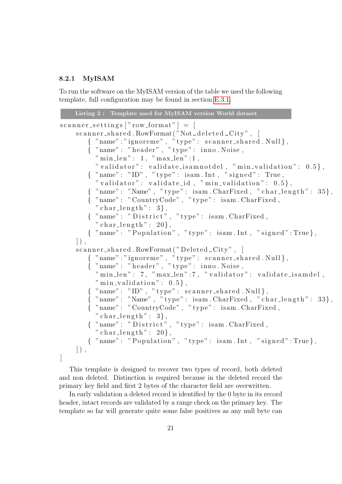## <span id="page-25-0"></span>8.2.1 MyISAM

To run the software on the MyISAM version of the table we used the following template, full configuration may be found in section [E.3.1.](#page-54-0)

```
Listing 2 : Template used for MyISAM version World dataset
scanner\_settings ["row\_format"] = [
     scanner\_shared. RowFormat ("Not_deleted_City", [
        {="name" : "ignore" : "type" : \; scanner\_shared \; Null },
        \tilde{A} "name": "header", "type": inno. Noise,
          "min\_len" : 1, "max\_len" : 1," validator": validate_isamnotdel, "min_validation": 0.5,
        \{ "name": "ID", "type": isam.Int, "signed": True,
          " validator": validate_id, " min_validation": 0.5 },
        \{ "name": "Name", "type": isam. CharFixed, "char_length": 35\},
        { "name" : "CountryCode" , " type " : isam . CharFixed ,
          " char\_length" : 3,
        {\{\quad} "name":\quad \text{``Distric\'t''}\ ,\ "type":\ \text{isam}\ . CharFixed,
          " char_length": 20,
        { "name": "Population", "type": isam.Int, "signed":True},
    \vert),
     scannershared.RowFormat("Deleted_City",[
        { \quad \{ \text{ "name" : "ignore" , \text{ "type" : \text{ scanner\_shared . Null } \},\{ "name": "header", "type": inno. Noise,
          "minlen" : 7, "maxlen" : 7, "validator" : validate.isamdel,"min\_validation" : 0.5\},\{ "name": "ID", "type": scanner_shared. Null \},
        \{ "name": "Name", "type": isam. CharFixed, "char_length": 33\},
        { "name" : "CountryCode" , " type " : isam . CharFixed ,
          " char\_length" : 3,
        \{ "name": "\overline{\text{D}}\text{is}\text{tric}\text{t}", "type": isam.CharFixed,
          " char_length": 20,
        \{ "name": "Population", "type": isam.Int, "signed":True},
    \vert),
]
```
This template is designed to recover two types of record, both deleted and non deleted. Distinction is required because in the deleted record the primary key field and first 2 bytes of the character field are overwritten.

In early validation a deleted record is identified by the 0 byte in its record header, intact records are validated by a range check on the primary key. The template so far will generate quite some false positives as any null byte can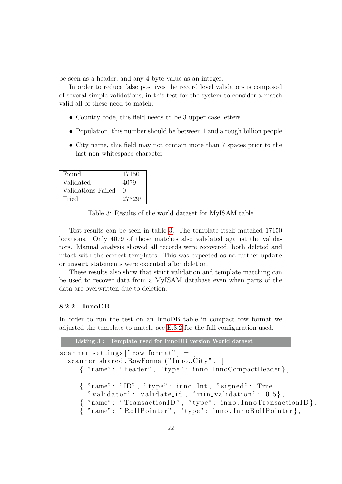be seen as a header, and any 4 byte value as an integer.

In order to reduce false positives the record level validators is composed of several simple validations, in this test for the system to consider a match valid all of these need to match:

- Country code, this field needs to be 3 upper case letters
- Population, this number should be between 1 and a rough billion people
- City name, this field may not contain more than 7 spaces prior to the last non whitespace character

<span id="page-26-1"></span>

| Found              | 17150            |
|--------------------|------------------|
| Validated          | 4079             |
| Validations Failed | $\left( \right)$ |
| Tried              | 273295           |

Table 3: Results of the world dataset for MyISAM table

Test results can be seen in table [3.](#page-26-1) The template itself matched 17150 locations. Only 4079 of those matches also validated against the validators. Manual analysis showed all records were recovered, both deleted and intact with the correct templates. This was expected as no further update or insert statements were executed after deletion.

These results also show that strict validation and template matching can be used to recover data from a MyISAM database even when parts of the data are overwritten due to deletion.

### <span id="page-26-0"></span>8.2.2 InnoDB

In order to run the test on an InnoDB table in compact row format we adjusted the template to match, see [E.3.2](#page-56-0) for the full configuration used.

Listing 3 : Template used for InnoDB version World dataset

 $\text{scanner}$  settings  $\lceil$ " row\_format"  $\rceil = \lceil$  $scanner\_shared$ . RowFormat ("Inno $\text{\_}City$ ", [ { "name": "header", "type": inno. InnoCompactHeader},  $\{$  "name": "ID", "type": inno.Int, "signed": True, " validator": validate\_id, "min\_validation":  $0.5$ },  $\{$  "name": "Transaction ID", "type": inno. InnoTransaction ID  $\}$ ,  ${\rm i}$  "name": "RollPointer", "type": inno.InnoRollPointer},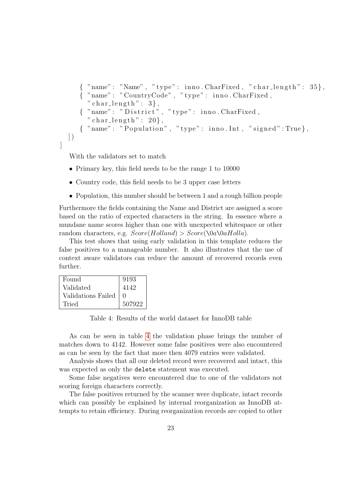```
\{ "name": "Name", "type": inno. CharFixed, "char_length": 35\},
   { "name" : "CountryCode" , " type " : inno . CharFixed ,
     " char\_length" : 3,
   {\{\;\;"name":\;\;"\;Distribt"\;,\;\;"type":\;\;inno\;.CharFixed\,,}" char\_length" : 20,
   \{ "name": "Population", "type": inno. Int, "signed": True},
\big|)
```
With the validators set to match

]

- Primary key, this field needs to be the range 1 to 10000
- Country code, this field needs to be 3 upper case letters
- Population, this number should be between 1 and a rough billion people

Furthermore the fields containing the Name and District are assigned a score based on the ratio of expected characters in the string. In essence where a mundane name scores higher than one with unexpected whitespace or other random characters, e.g.  $Score(Holland) > Score(\0a\0aHolla)$ .

This test shows that using early validation in this template reduces the false positives to a manageable number. It also illustrates that the use of context aware validators can reduce the amount of recovered records even further.

<span id="page-27-0"></span>

| Found              | 9193             |
|--------------------|------------------|
| Validated          | 4142             |
| Validations Failed | $\left( \right)$ |
| Tried              | 507922           |

Table 4: Results of the world dataset for InnoDB table

As can be seen in table [4](#page-27-0) the validation phase brings the number of matches down to 4142. However some false positives were also encountered as can be seen by the fact that more then 4079 entries were validated.

Analysis shows that all our deleted record were recovered and intact, this was expected as only the delete statement was executed.

Some false negatives were encountered due to one of the validators not scoring foreign characters correctly.

The false positives returned by the scanner were duplicate, intact records which can possibly be explained by internal reorganization as InnoDB attempts to retain efficiency. During reorganization records are copied to other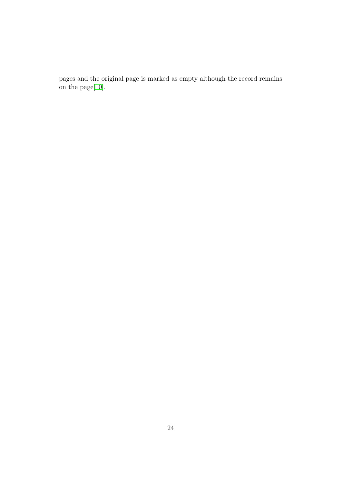pages and the original page is marked as empty although the record remains on the page[\[10\]](#page-32-1).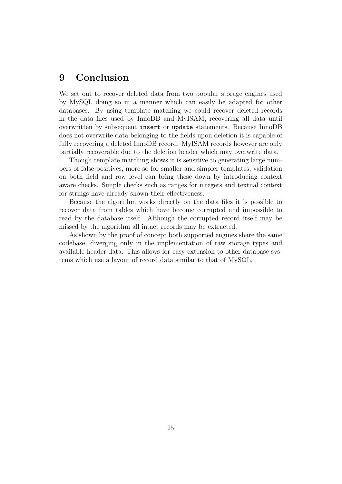# <span id="page-29-0"></span>9 Conclusion

We set out to recover deleted data from two popular storage engines used by MySQL doing so in a manner which can easily be adapted for other databases. By using template matching we could recover deleted records in the data files used by InnoDB and MyISAM, recovering all data until overwritten by subsequent insert or update statements. Because InnoDB does not overwrite data belonging to the fields upon deletion it is capable of fully recovering a deleted InnoDB record. MyISAM records however are only partially recoverable due to the deletion header which may overwrite data.

Though template matching shows it is sensitive to generating large numbers of false positives, more so for smaller and simpler templates, validation on both field and row level can bring these down by introducing context aware checks. Simple checks such as ranges for integers and textual context for strings have already shown their effectiveness.

Because the algorithm works directly on the data files it is possible to recover data from tables which have become corrupted and impossible to read by the database itself. Although the corrupted record itself may be missed by the algorithm all intact records may be extracted.

As shown by the proof of concept both supported engines share the same codebase, diverging only in the implementation of raw storage types and available header data. This allows for easy extension to other database systems which use a layout of record data similar to that of MySQL.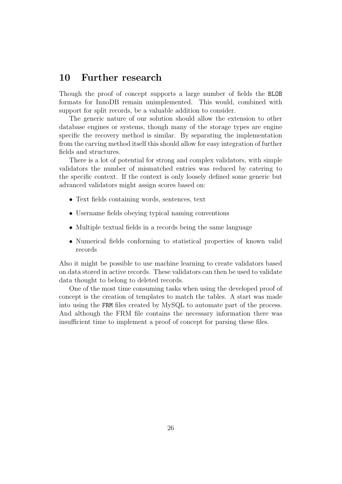# <span id="page-30-0"></span>10 Further research

Though the proof of concept supports a large number of fields the BLOB formats for InnoDB remain unimplemented. This would, combined with support for split records, be a valuable addition to consider.

The generic nature of our solution should allow the extension to other database engines or systems, though many of the storage types are engine specific the recovery method is similar. By separating the implementation from the carving method itself this should allow for easy integration of further fields and structures.

There is a lot of potential for strong and complex validators, with simple validators the number of mismatched entries was reduced by catering to the specific context. If the context is only loosely defined some generic but advanced validators might assign scores based on:

- Text fields containing words, sentences, text
- Username fields obeying typical naming conventions
- Multiple textual fields in a records being the same language
- Numerical fields conforming to statistical properties of known valid records

Also it might be possible to use machine learning to create validators based on data stored in active records. These validators can then be used to validate data thought to belong to deleted records.

One of the most time consuming tasks when using the developed proof of concept is the creation of templates to match the tables. A start was made into using the FRM files created by MySQL to automate part of the process. And although the FRM file contains the necessary information there was insufficient time to implement a proof of concept for parsing these files.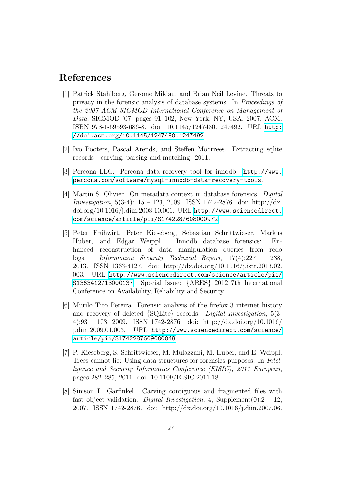# References

- <span id="page-31-0"></span>[1] Patrick Stahlberg, Gerome Miklau, and Brian Neil Levine. Threats to privacy in the forensic analysis of database systems. In Proceedings of the 2007 ACM SIGMOD International Conference on Management of Data, SIGMOD '07, pages 91–102, New York, NY, USA, 2007. ACM. ISBN 978-1-59593-686-8. doi: 10.1145/1247480.1247492. URL [http:](http://doi.acm.org/10.1145/1247480.1247492) [//doi.acm.org/10.1145/1247480.1247492](http://doi.acm.org/10.1145/1247480.1247492).
- <span id="page-31-1"></span>[2] Ivo Pooters, Pascal Arends, and Steffen Moorrees. Extracting sqlite records - carving, parsing and matching. 2011.
- <span id="page-31-2"></span>[3] Percona LLC. Percona data recovery tool for innodb. [http://www.](http://www.percona.com/software/mysql-innodb-data-recovery-tools) [percona.com/software/mysql-innodb-data-recovery-tools](http://www.percona.com/software/mysql-innodb-data-recovery-tools).
- <span id="page-31-3"></span>[4] Martin S. Olivier. On metadata context in database forensics. Digital Investigation,  $5(3-4):115 - 123$ , 2009. ISSN 1742-2876. doi: http://dx. doi.org/10.1016/j.diin.2008.10.001. URL [http://www.sciencedirect.](http://www.sciencedirect.com/science/article/pii/S1742287608000972) [com/science/article/pii/S1742287608000972](http://www.sciencedirect.com/science/article/pii/S1742287608000972).
- <span id="page-31-4"></span>[5] Peter Fr¨uhwirt, Peter Kieseberg, Sebastian Schrittwieser, Markus Huber, and Edgar Weippl. Innodb database forensics: Enhanced reconstruction of data manipulation queries from redo logs. Information Security Technical Report, 17(4):227 – 238, 2013. ISSN 1363-4127. doi: http://dx.doi.org/10.1016/j.istr.2013.02. 003. URL [http://www.sciencedirect.com/science/article/pii/](http://www.sciencedirect.com/science/article/pii/S1363412713000137) [S1363412713000137](http://www.sciencedirect.com/science/article/pii/S1363412713000137). Special Issue: {ARES} 2012 7th International Conference on Availability, Reliability and Security.
- <span id="page-31-5"></span>[6] Murilo Tito Pereira. Forensic analysis of the firefox 3 internet history and recovery of deleted {SQLite} records. Digital Investigation, 5(3- 4):93 – 103, 2009. ISSN 1742-2876. doi: http://dx.doi.org/10.1016/ j.diin.2009.01.003. URL [http://www.sciencedirect.com/science/](http://www.sciencedirect.com/science/article/pii/S1742287609000048) [article/pii/S1742287609000048](http://www.sciencedirect.com/science/article/pii/S1742287609000048).
- <span id="page-31-6"></span>[7] P. Kieseberg, S. Schrittwieser, M. Mulazzani, M. Huber, and E. Weippl. Trees cannot lie: Using data structures for forensics purposes. In Intelligence and Security Informatics Conference (EISIC), 2011 European, pages 282–285, 2011. doi: 10.1109/EISIC.2011.18.
- <span id="page-31-7"></span>[8] Simson L. Garfinkel. Carving contiguous and fragmented files with fast object validation. Digital Investigation, 4, Supplement $(0)$ : 2 – 12, 2007. ISSN 1742-2876. doi: http://dx.doi.org/10.1016/j.diin.2007.06.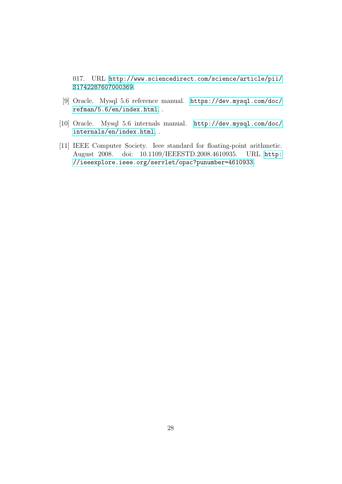017. URL [http://www.sciencedirect.com/science/article/pii/](http://www.sciencedirect.com/science/article/pii/S1742287607000369) [S1742287607000369](http://www.sciencedirect.com/science/article/pii/S1742287607000369).

- <span id="page-32-0"></span>[9] Oracle. Mysql 5.6 reference manual. [https://dev.mysql.com/doc/](https://dev.mysql.com/doc/refman/5.6/en/index.html) [refman/5.6/en/index.html](https://dev.mysql.com/doc/refman/5.6/en/index.html), .
- <span id="page-32-1"></span>[10] Oracle. Mysql 5.6 internals manual. [http://dev.mysql.com/doc/](http://dev.mysql.com/doc/internals/en/index.html) [internals/en/index.html](http://dev.mysql.com/doc/internals/en/index.html), .
- <span id="page-32-2"></span>[11] IEEE Computer Society. Ieee standard for floating-point arithmetic. August 2008. doi: 10.1109/IEEESTD.2008.4610935. URL [http:](http://ieeexplore.ieee.org/servlet/opac?punumber=4610933) [//ieeexplore.ieee.org/servlet/opac?punumber=4610933](http://ieeexplore.ieee.org/servlet/opac?punumber=4610933).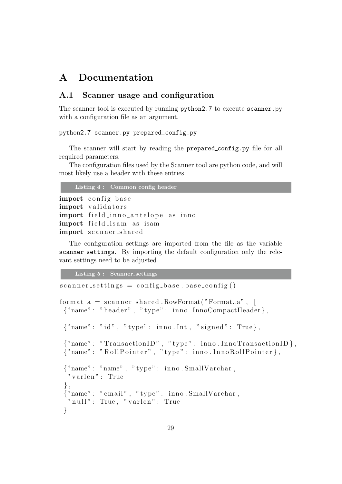# <span id="page-33-0"></span>A Documentation

# <span id="page-33-1"></span>A.1 Scanner usage and configuration

The scanner tool is executed by running python2.7 to execute scanner.py with a configuration file as an argument.

#### python2.7 scanner.py prepared\_config.py

The scanner will start by reading the prepared config.py file for all required parameters.

The configuration files used by the Scanner tool are python code, and will most likely use a header with these entries

Listing 4 : Common config header

```
import config_base
import validators
import field_inno_antelope as inno
import field_isam as isam
import scanner_shared
```
The configuration settings are imported from the file as the variable scanner settings. By importing the default configuration only the relevant settings need to be adjusted.

Listing 5 : Scanner settings

```
scannersettings = config-base.\,\,base\,\,config()format_a = scanner\_shared.RowFormat("Format_a",{"name": "header", "type": inno.InnoCompactHeader},
 { \text{ "name"} : "id", "type": inno. Int", "signed": True } },{'" name": "Transaction ID", "type": inno. InnoTransaction ID},
 {" name" : "RollPointer", "type" : inno. InnoRollPointer{ },
 {"name" : "name" , " type " : inno . SmallVarchar ,
  " varlen" : True
 \},
 {"name" : " email " , " type " : inno . SmallVarchar ,
 "null" : True, "varlen" : True}
```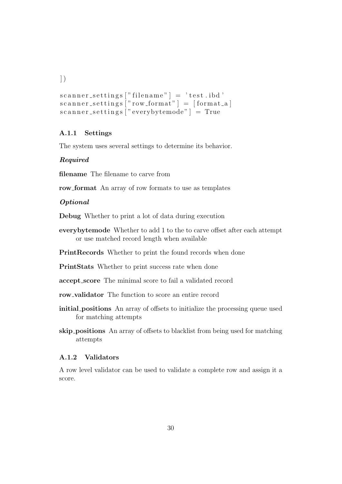$\left| \ \right)$ 

```
scanner_setting s['filename"] = 'test.id'scanner_setting s['row.format"] = [format_a]scanner_setting s ["everybytemode" ] = True
```
# <span id="page-34-0"></span>A.1.1 Settings

The system uses several settings to determine its behavior.

### Required

filename The filename to carve from

row format An array of row formats to use as templates

# Optional

Debug Whether to print a lot of data during execution

everybytemode Whether to add 1 to the to carve offset after each attempt or use matched record length when available

PrintRecords Whether to print the found records when done

PrintStats Whether to print success rate when done

accept score The minimal score to fail a validated record

row\_validator The function to score an entire record

- initial positions An array of offsets to initialize the processing queue used for matching attempts
- skip positions An array of offsets to blacklist from being used for matching attempts

#### <span id="page-34-1"></span>A.1.2 Validators

A row level validator can be used to validate a complete row and assign it a score.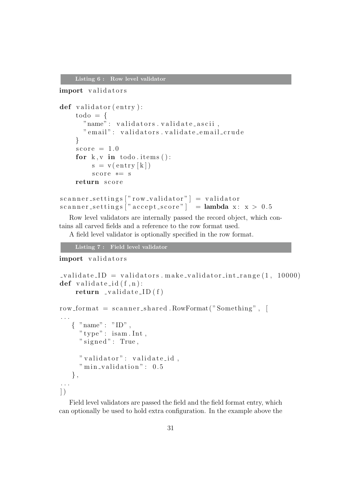Listing 6 : Row level validator

```
import validators
def validator (entry):
    \text{todo} = \{"name" : validators, validates." email" : validators . validate_email_crude
    }
    score = 1.0for k, v in todo . items ():
         s = v(\text{entry} [k])score == sreturn score
scannersettings['row-validation"] = validatorscannersettings<sup>"</sup> accept_score" = lambda x: x > 0.5
```
Row level validators are internally passed the record object, which contains all carved fields and a reference to the row format used.

A field level validator is optionally specified in the row format.

```
Listing 7 : Field level validator
```
#### import validators

```
v alidate ID = validators make validator int range (1, 10000)def validate_id(f, n):
    return value\_ID(f)row format = scanner shared RowFormat ("Something", [
. . .
   \{ "name": "ID",
     "type": isam. Int,
     " signed": True,
     " validator": validate_id,
     " min_validation": 0.5} ,
. . .
\left| \ \right)
```
Field level validators are passed the field and the field format entry, which can optionally be used to hold extra configuration. In the example above the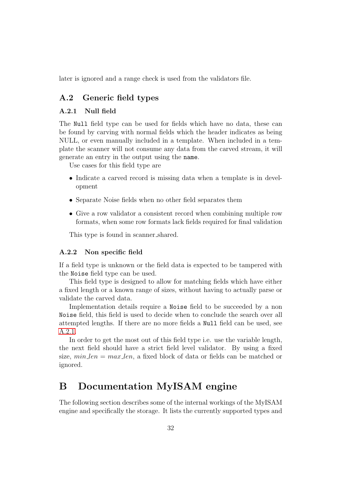later is ignored and a range check is used from the validators file.

# <span id="page-36-0"></span>A.2 Generic field types

### <span id="page-36-1"></span>A.2.1 Null field

The Null field type can be used for fields which have no data, these can be found by carving with normal fields which the header indicates as being NULL, or even manually included in a template. When included in a template the scanner will not consume any data from the carved stream, it will generate an entry in the output using the name.

Use cases for this field type are

- Indicate a carved record is missing data when a template is in development
- Separate Noise fields when no other field separates them
- Give a row validator a consistent record when combining multiple row formats, when some row formats lack fields required for final validation

This type is found in scanner shared.

#### <span id="page-36-2"></span>A.2.2 Non specific field

If a field type is unknown or the field data is expected to be tampered with the Noise field type can be used.

This field type is designed to allow for matching fields which have either a fixed length or a known range of sizes, without having to actually parse or validate the carved data.

Implementation details require a Noise field to be succeeded by a non Noise field, this field is used to decide when to conclude the search over all attempted lengths. If there are no more fields a Null field can be used, see [A.2.1.](#page-36-1)

In order to get the most out of this field type i.e. use the variable length, the next field should have a strict field level validator. By using a fixed size,  $min\_len = max\_len$ , a fixed block of data or fields can be matched or ignored.

# <span id="page-36-3"></span>B Documentation MyISAM engine

The following section describes some of the internal workings of the MyISAM engine and specifically the storage. It lists the currently supported types and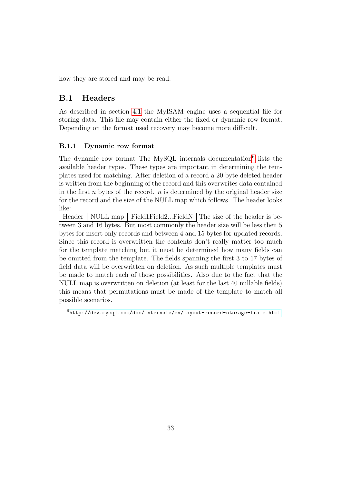how they are stored and may be read.

# <span id="page-37-0"></span>B.1 Headers

As described in section [4.1](#page-8-1) the MyISAM engine uses a sequential file for storing data. This file may contain either the fixed or dynamic row format. Depending on the format used recovery may become more difficult.

## <span id="page-37-1"></span>B.1.1 Dynamic row format

The dynamic row format The MySQL internals documentation<sup>[6](#page-37-2)</sup> lists the available header types. These types are important in determining the templates used for matching. After deletion of a record a 20 byte deleted header is written from the beginning of the record and this overwrites data contained in the first n bytes of the record.  $n$  is determined by the original header size for the record and the size of the NULL map which follows. The header looks like:

Header | NULL map | Field1Field2...FieldN | The size of the header is between 3 and 16 bytes. But most commonly the header size will be less then 5 bytes for insert only records and between 4 and 15 bytes for updated records. Since this record is overwritten the contents don't really matter too much for the template matching but it must be determined how many fields can be omitted from the template. The fields spanning the first 3 to 17 bytes of field data will be overwritten on deletion. As such multiple templates must be made to match each of those possibilities. Also due to the fact that the NULL map is overwritten on deletion (at least for the last 40 nullable fields) this means that permutations must be made of the template to match all possible scenarios.

<span id="page-37-2"></span> $6$ <http://dev.mysql.com/doc/internals/en/layout-record-storage-frame.html>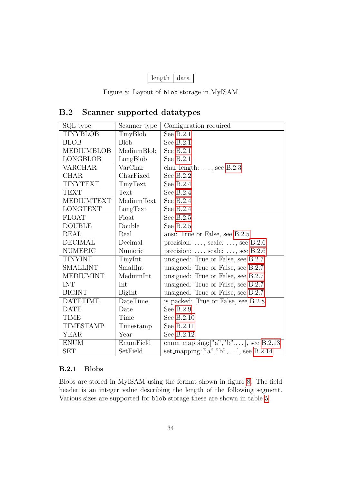| length | data |
|--------|------|
|--------|------|

Figure 8: Layout of blob storage in MyISAM

# <span id="page-38-2"></span><span id="page-38-0"></span>B.2 Scanner supported datatypes

| SQL type          | Scanner type | Configuration required                          |
|-------------------|--------------|-------------------------------------------------|
| <b>TINYBLOB</b>   | TinyBlob     | See $B.2.1$                                     |
| <b>BLOB</b>       | <b>Blob</b>  | See B.2.1                                       |
| <b>MEDIUMBLOB</b> | MediumBlob   | See $B.2.1$                                     |
| <b>LONGBLOB</b>   | LongBlob     | See $B.2.1$                                     |
| <b>VARCHAR</b>    | VarChar      | char length: $\dots$ , see B.2.3                |
| <b>CHAR</b>       | CharFixed    | See $B.2.2$                                     |
| <b>TINYTEXT</b>   | TinyText     | See $B.2.4$                                     |
| <b>TEXT</b>       | Text         | See $B.2.4$                                     |
| <b>MEDIUMTEXT</b> | MediumText   | See $B.2.4$                                     |
| <b>LONGTEXT</b>   | LongText     | See $B.2.4$                                     |
| FLOAT             | Float        | See B.2.5                                       |
| <b>DOUBLE</b>     | Double       | See $B.2.5$                                     |
| <b>REAL</b>       | Real         | ansi: True or False, see B.2.5                  |
| <b>DECIMAL</b>    | Decimal      | precision: $\dots$ , scale: $\dots$ , see B.2.6 |
| <b>NUMERIC</b>    | Numeric      | precision: $\dots$ , scale: $\dots$ , see B.2.6 |
| <b>TINYINT</b>    | TinyInt      | unsigned: True or False, see B.2.7              |
| <b>SMALLINT</b>   | SmallInt     | unsigned: True or False, see B.2.7              |
| <b>MEDIUMINT</b>  | MediumInt    | unsigned: True or False, see B.2.7              |
| <b>INT</b>        | Int          | unsigned: True or False, see B.2.7              |
| <b>BIGINT</b>     | BigInt       | unsigned: True or False, see B.2.7              |
| <b>DATETIME</b>   | DateTime     | is_packed: True or False, see B.2.8             |
| <b>DATE</b>       | Date         | See B.2.9                                       |
| <b>TIME</b>       | Time         | See B.2.10                                      |
| <b>TIMESTAMP</b>  | Timestamp    | See B.2.11                                      |
| <b>YEAR</b>       | Year         | See B.2.12                                      |
| <b>ENUM</b>       | EnumField    | enum_mapping: $["a", "b", \ldots]$ , see B.2.13 |
| <b>SET</b>        | SetField     | set_mapping:["a","b",], see B.2.14              |

# <span id="page-38-1"></span>B.2.1 Blobs

Blobs are stored in MyISAM using the format shown in figure [8.](#page-38-2) The field header is an integer value describing the length of the following segment. Various sizes are supported for blob storage these are shown in table [5](#page-39-3)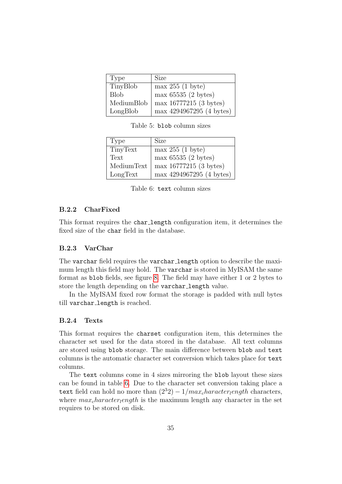<span id="page-39-3"></span>

| Type        | <b>Size</b>              |
|-------------|--------------------------|
| TinyBlob    | max 255 (1 byte)         |
| <b>Blob</b> | max 65535 (2 bytes)      |
| MediumBlob  | max 16777215 (3 bytes)   |
| LongBlob    | max 4294967295 (4 bytes) |

Table 5: blob column sizes

<span id="page-39-4"></span>

| Type       | <b>Size</b>              |
|------------|--------------------------|
| TinyText   | max 255 (1 byte)         |
| Text       | max 65535 (2 bytes)      |
| MediumText | max 16777215 (3 bytes)   |
| LongText   | max 4294967295 (4 bytes) |

Table 6: text column sizes

# <span id="page-39-0"></span>B.2.2 CharFixed

This format requires the char length configuration item, it determines the fixed size of the char field in the database.

# <span id="page-39-1"></span>B.2.3 VarChar

The varchar field requires the varchar length option to describe the maximum length this field may hold. The varchar is stored in MyISAM the same format as blob fields, see figure [8.](#page-38-2) The field may have either 1 or 2 bytes to store the length depending on the varchar length value.

In the MyISAM fixed row format the storage is padded with null bytes till varchar length is reached.

# <span id="page-39-2"></span>B.2.4 Texts

This format requires the charset configuration item, this determines the character set used for the data stored in the database. All text columns are stored using blob storage. The main difference between blob and text columns is the automatic character set conversion which takes place for text columns.

The text columns come in 4 sizes mirroring the blob layout these sizes can be found in table [6.](#page-39-4) Due to the character set conversion taking place a text field can hold no more than  $(2^{3}2) - 1/max_{\text{c}}hara_{\text{c}}$  haracters, where  $max_{c}haracter_{l}ength$  is the maximum length any character in the set requires to be stored on disk.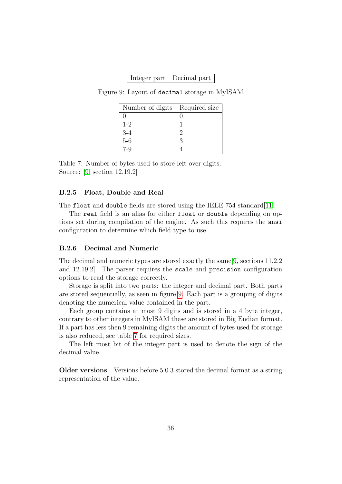| Integer part   Decimal part |  |
|-----------------------------|--|
|-----------------------------|--|

<span id="page-40-3"></span><span id="page-40-2"></span>Figure 9: Layout of decimal storage in MyISAM

| Number of digits        | Required size |
|-------------------------|---------------|
|                         |               |
| $1 - 2$                 |               |
|                         | 2             |
| $3-4$<br>$5-6$<br>$7-9$ | 3             |
|                         |               |

Table 7: Number of bytes used to store left over digits. Source: [\[9,](#page-32-0) section 12.19.2]

### <span id="page-40-0"></span>B.2.5 Float, Double and Real

The float and double fields are stored using the IEEE 754 standard[\[11\]](#page-32-2).

The real field is an alias for either float or double depending on options set during compilation of the engine. As such this requires the ansi configuration to determine which field type to use.

#### <span id="page-40-1"></span>B.2.6 Decimal and Numeric

The decimal and numeric types are stored exactly the same[\[9,](#page-32-0) sections 11.2.2 and 12.19.2]. The parser requires the scale and precision configuration options to read the storage correctly.

Storage is split into two parts: the integer and decimal part. Both parts are stored sequentially, as seen in figure [9.](#page-40-2) Each part is a grouping of digits denoting the numerical value contained in the part.

Each group contains at most 9 digits and is stored in a 4 byte integer, contrary to other integers in MyISAM these are stored in Big Endian format. If a part has less then 9 remaining digits the amount of bytes used for storage is also reduced, see table [7](#page-40-3) for required sizes.

The left most bit of the integer part is used to denote the sign of the decimal value.

Older versions Versions before 5.0.3 stored the decimal format as a string representation of the value.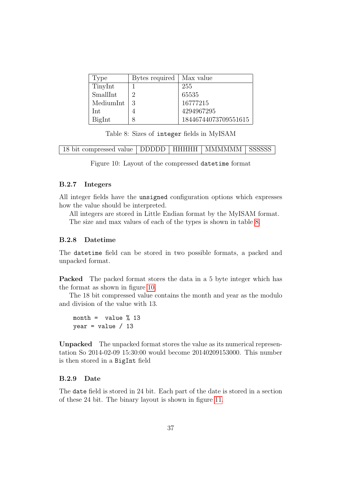<span id="page-41-3"></span>

| Type      | Bytes required   Max value |                      |
|-----------|----------------------------|----------------------|
| TinyInt   |                            | 255                  |
| SmallInt  | റ                          | 65535                |
| MediumInt | 3                          | 16777215             |
| Int       |                            | 4294967295           |
| BigInt    | 8                          | 18446744073709551615 |

Table 8: Sizes of integer fields in MyISAM

<span id="page-41-4"></span>

| <sup>1</sup> 18 bit compressed value   DDDDD   HHHHH   MMMMMM   SSSSSS |  |  |  |  |
|------------------------------------------------------------------------|--|--|--|--|
|------------------------------------------------------------------------|--|--|--|--|

Figure 10: Layout of the compressed datetime format

#### <span id="page-41-0"></span>B.2.7 Integers

All integer fields have the unsigned configuration options which expresses how the value should be interpreted.

All integers are stored in Little Endian format by the MyISAM format. The size and max values of each of the types is shown in table [8.](#page-41-3)

### <span id="page-41-1"></span>B.2.8 Datetime

The datetime field can be stored in two possible formats, a packed and unpacked format.

Packed The packed format stores the data in a 5 byte integer which has the format as shown in figure [10.](#page-41-4)

The 18 bit compressed value contains the month and year as the modulo and division of the value with 13.

```
month = value \% 13year = value / 13
```
Unpacked The unpacked format stores the value as its numerical representation So 2014-02-09 15:30:00 would become 20140209153000. This number is then stored in a BigInt field

#### <span id="page-41-2"></span>B.2.9 Date

The date field is stored in 24 bit. Each part of the date is stored in a section of these 24 bit. The binary layout is shown in figure [11.](#page-42-4)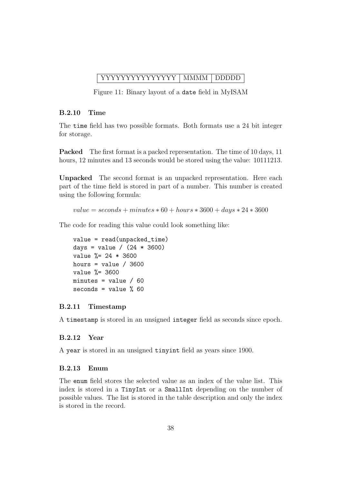# <span id="page-42-4"></span>YYYYYYYYYYYYYYY MMMM DDDDD

Figure 11: Binary layout of a date field in MyISAM

#### <span id="page-42-0"></span>B.2.10 Time

The time field has two possible formats. Both formats use a 24 bit integer for storage.

Packed The first format is a packed representation. The time of 10 days, 11 hours, 12 minutes and 13 seconds would be stored using the value: 10111213.

Unpacked The second format is an unpacked representation. Here each part of the time field is stored in part of a number. This number is created using the following formula:

 $value = seconds + minutes * 60 + hours * 3600 + days * 24 * 3600$ 

The code for reading this value could look something like:

```
value = read(unpacked_time)
days = value / (24 * 3600)value %= 24 * 3600
hours = value / 3600value %= 3600
minutes = value / 60seconds = value % 60
```
### <span id="page-42-1"></span>B.2.11 Timestamp

A timestamp is stored in an unsigned integer field as seconds since epoch.

### <span id="page-42-2"></span>B.2.12 Year

A year is stored in an unsigned tinyint field as years since 1900.

# <span id="page-42-3"></span>B.2.13 Enum

The enum field stores the selected value as an index of the value list. This index is stored in a TinyInt or a SmallInt depending on the number of possible values. The list is stored in the table description and only the index is stored in the record.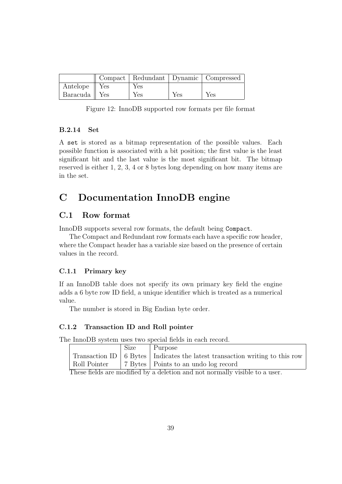|                          |     |     | Compact   Redundant   Dynamic   Compressed |
|--------------------------|-----|-----|--------------------------------------------|
| Antelope $\parallel$ Yes | Yes |     |                                            |
| Baracuda    Yes          | Yes | Yes | Yes                                        |

Figure 12: InnoDB supported row formats per file format

### <span id="page-43-0"></span>B.2.14 Set

A set is stored as a bitmap representation of the possible values. Each possible function is associated with a bit position; the first value is the least significant bit and the last value is the most significant bit. The bitmap reserved is either 1, 2, 3, 4 or 8 bytes long depending on how many items are in the set.

# <span id="page-43-1"></span>C Documentation InnoDB engine

# <span id="page-43-2"></span>C.1 Row format

InnoDB supports several row formats, the default being Compact.

The Compact and Redundant row formats each have a specific row header, where the Compact header has a variable size based on the presence of certain values in the record.

### <span id="page-43-3"></span>C.1.1 Primary key

If an InnoDB table does not specify its own primary key field the engine adds a 6 byte row ID field, a unique identifier which is treated as a numerical value.

The number is stored in Big Endian byte order.

#### <span id="page-43-4"></span>C.1.2 Transaction ID and Roll pointer

The InnoDB system uses two special fields in each record.

|  | $\vert$ Size $\vert$ Purpose                                                                |
|--|---------------------------------------------------------------------------------------------|
|  | Transaction ID $\vert$ 6 Bytes $\vert$ Indicates the latest transaction writing to this row |
|  | Roll Pointer 7 Bytes Points to an undo log record                                           |

These fields are modified by a deletion and not normally visible to a user.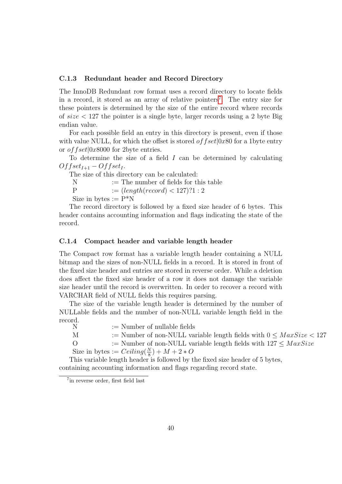#### <span id="page-44-0"></span>C.1.3 Redundant header and Record Directory

The InnoDB Redundant row format uses a record directory to locate fields in a record, it stored as an array of relative pointers<sup>[7](#page-44-2)</sup>. The entry size for these pointers is determined by the size of the entire record where records of  $size < 127$  the pointer is a single byte, larger records using a 2 byte Big endian value.

For each possible field an entry in this directory is present, even if those with value NULL, for which the offset is stored *of f set* $|0x80|$  for a 1byte entry or *of fset* $|0x8000$  for 2byte entries.

To determine the size of a field  $I$  can be determined by calculating  $Offset_{I+1} - Offset_I.$ 

The size of this directory can be calculated:

 $N \equiv$  The number of fields for this table P :=  $(length(record) < 127)$ ?1 : 2

Size in bytes  $:= P^*N$ 

The record directory is followed by a fixed size header of 6 bytes. This header contains accounting information and flags indicating the state of the record.

#### <span id="page-44-1"></span>C.1.4 Compact header and variable length header

The Compact row format has a variable length header containing a NULL bitmap and the sizes of non-NULL fields in a record. It is stored in front of the fixed size header and entries are stored in reverse order. While a deletion does affect the fixed size header of a row it does not damage the variable size header until the record is overwritten. In order to recover a record with VARCHAR field of NULL fields this requires parsing.

The size of the variable length header is determined by the number of NULLable fields and the number of non-NULL variable length field in the record.<br>N

 $:=$  Number of nullable fields

M  $:=$  Number of non-NULL variable length fields with  $0 \leq MaxSize < 127$ 

O := Number of non-NULL variable length fields with  $127 \leq MaxSize$ 

Size in bytes := 
$$
Ceiling(\frac{N}{8}) + M + 2 * O
$$

This variable length header is followed by the fixed size header of 5 bytes, containing accounting information and flags regarding record state.

<span id="page-44-2"></span><sup>7</sup> in reverse order, first field last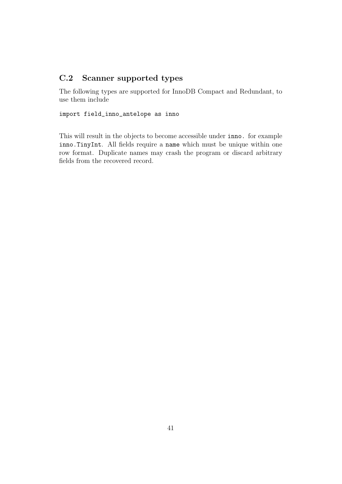# <span id="page-45-0"></span>C.2 Scanner supported types

The following types are supported for InnoDB Compact and Redundant, to use them include

### import field\_inno\_antelope as inno

This will result in the objects to become accessible under inno. for example inno.TinyInt. All fields require a name which must be unique within one row format. Duplicate names may crash the program or discard arbitrary fields from the recovered record.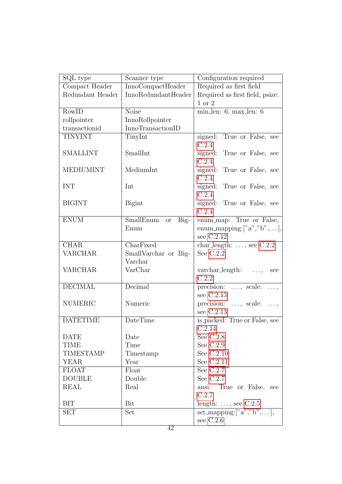| SQL type           | Scanner type                     | Configuration required                                               |  |
|--------------------|----------------------------------|----------------------------------------------------------------------|--|
| Compact Header     | InnoCompactHeader                | Required as first field                                              |  |
| Redundant Header   | InnoRedundantHeader              | Required as first field, psize:                                      |  |
|                    |                                  | 1 or 2                                                               |  |
| $RowI\overline{D}$ | <b>Noise</b>                     | $\min\!\rule{0.3pt}{0.8pt}\hspace{0.25em}\text{inn. 6, max\_len: 6}$ |  |
| rollpointer        | InnoRollpointer                  |                                                                      |  |
| transactionid      | InnoTransactionID                |                                                                      |  |
| <b>TINYINT</b>     | TinyInt                          | signed: True or False, see<br>C.2.4                                  |  |
| <b>SMALLINT</b>    | SmallInt                         | signed: True or False, see<br>C.2.4                                  |  |
| <b>MEDIUMINT</b>   | MediumInt                        | signed: True or False, see<br>C.2.4                                  |  |
| <b>INT</b>         | Int                              | signed: True or False, see<br>C.2.4                                  |  |
| <b>BIGINT</b>      | <b>Bigint</b>                    | signed: True or False, see<br>C.2.4                                  |  |
| <b>ENUM</b>        | SmallEnum<br>$Big-$<br><b>or</b> | enum_map: True or False,                                             |  |
|                    | Enum                             | enum_mapping:[" $a$ "," $b$ ",],                                     |  |
|                    |                                  | see C.2.12                                                           |  |
| <b>CHAR</b>        | CharFixed                        | char_length: $\dots$ , see C.2.2                                     |  |
| <b>VARCHAR</b>     | SmallVarchar or Big-             | See $C.2.2$                                                          |  |
|                    | Varchar                          |                                                                      |  |
| <b>VARCHAR</b>     | VarChar                          | $\text{varchar\_length:} \quad \ldots,$<br>see<br>C.2.2              |  |
| <b>DECIMAL</b>     | Decimal                          | precision: , scale:<br>$\ldots,$                                     |  |
|                    |                                  | see C.2.13                                                           |  |
| <b>NUMERIC</b>     | Numeric                          | precision: $\ldots$ , scale: $\ldots$ ,                              |  |
|                    |                                  | see C.2.13                                                           |  |
| <b>DATETIME</b>    | DateTime                         | is_packed: True or False, see                                        |  |
|                    |                                  | C.2.14                                                               |  |
| <b>DATE</b>        | Date                             | See $C.2.8$                                                          |  |
| <b>TIME</b>        | Time                             | See $C.2.9$                                                          |  |
| <b>TIMESTAMP</b>   | Timestamp                        | See $C.2.10$                                                         |  |
| <b>YEAR</b>        | Year                             | See C.2.11                                                           |  |
| <b>FLOAT</b>       | Float                            | See $C.2.7$                                                          |  |
| <b>DOUBLE</b>      | Double                           | See $C.2.7$                                                          |  |
| <b>REAL</b>        | Real                             | ansi:<br>True or False, see                                          |  |
|                    |                                  | C.2.7                                                                |  |
| <b>BIT</b>         | Bit                              | length: $\dots$ , see C.2.5                                          |  |
| <b>SET</b>         | Set                              | set_mapping: $['a", "b", \ldots],$                                   |  |
|                    |                                  | see $C.2.6$                                                          |  |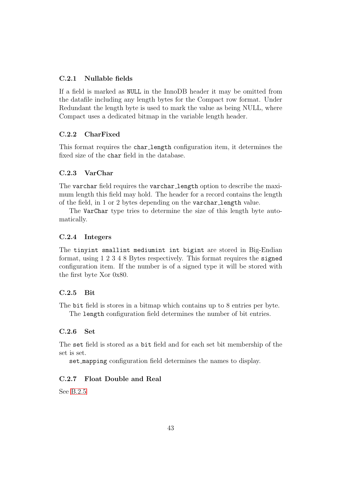## <span id="page-47-0"></span>C.2.1 Nullable fields

If a field is marked as NULL in the InnoDB header it may be omitted from the datafile including any length bytes for the Compact row format. Under Redundant the length byte is used to mark the value as being NULL, where Compact uses a dedicated bitmap in the variable length header.

## <span id="page-47-1"></span>C.2.2 CharFixed

This format requires the char\_length configuration item, it determines the fixed size of the char field in the database.

### <span id="page-47-2"></span>C.2.3 VarChar

The varchar field requires the varchar length option to describe the maximum length this field may hold. The header for a record contains the length of the field, in 1 or 2 bytes depending on the varchar length value.

The VarChar type tries to determine the size of this length byte automatically.

#### <span id="page-47-3"></span>C.2.4 Integers

The tinyint smallint mediumint int bigint are stored in Big-Endian format, using 1 2 3 4 8 Bytes respectively. This format requires the signed configuration item. If the number is of a signed type it will be stored with the first byte Xor 0x80.

# <span id="page-47-4"></span>C.2.5 Bit

The bit field is stores in a bitmap which contains up to 8 entries per byte. The length configuration field determines the number of bit entries.

# <span id="page-47-5"></span>C.2.6 Set

The set field is stored as a bit field and for each set bit membership of the set is set.

set mapping configuration field determines the names to display.

### <span id="page-47-6"></span>C.2.7 Float Double and Real

See [B.2.5](#page-40-0)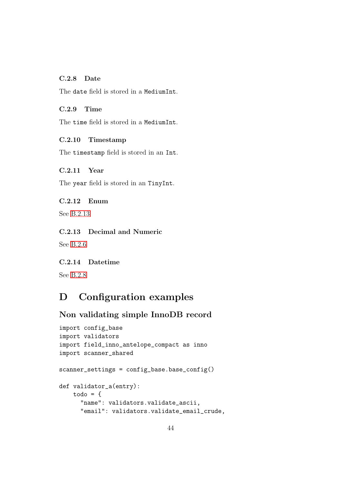# <span id="page-48-0"></span>C.2.8 Date

The date field is stored in a MediumInt.

### <span id="page-48-1"></span>C.2.9 Time

The time field is stored in a MediumInt.

# <span id="page-48-2"></span>C.2.10 Timestamp

The timestamp field is stored in an Int.

# <span id="page-48-3"></span>C.2.11 Year

The year field is stored in an TinyInt.

# <span id="page-48-4"></span>C.2.12 Enum

See [B.2.13](#page-42-3)

# <span id="page-48-5"></span>C.2.13 Decimal and Numeric

See [B.2.6](#page-40-1)

# <span id="page-48-6"></span>C.2.14 Datetime

See [B.2.8](#page-41-1)

# <span id="page-48-7"></span>D Configuration examples

# Non validating simple InnoDB record

```
import config_base
import validators
import field_inno_antelope_compact as inno
import scanner_shared
scanner_settings = config_base.base_config()
def validator_a(entry):
    todo = f"name": validators.validate_ascii,
      "email": validators.validate_email_crude,
```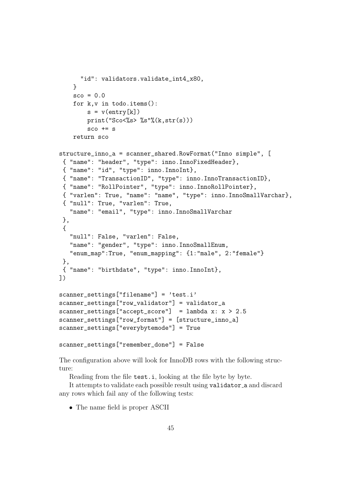```
"id": validators.validate_int4_x80,
    }
    \text{sco} = 0.0for k,v in todo.items():
        s = v(entry[k])print("Sco<%s> %s"%(k,str(s)))
        sco += sreturn sco
structure_inno_a = scanner_shared.RowFormat("Inno simple", [
 { "name": "header", "type": inno.InnoFixedHeader},
 { "name": "id", "type": inno.InnoInt},
 { "name": "TransactionID", "type": inno.InnoTransactionID},
 { "name": "RollPointer", "type": inno.InnoRollPointer},
 { "varlen": True, "name": "name", "type": inno.InnoSmallVarchar},
 { "null": True, "varlen": True,
   "name": "email", "type": inno.InnoSmallVarchar
 },
 {
   "null": False, "varlen": False,
   "name": "gender", "type": inno. InnoSmallEnum,
   "enum_map":True, "enum_mapping": {1:"male", 2:"female"}
 },
{ "name": "birthdate", "type": inno.InnoInt},
])
scanner_settings["filename"] = 'test.i'
scanner_settings["row_validator"] = validator_a
scanner_settings["accept_score"] = lambda x: x > 2.5scanner_settings["row_format"] = [structure_inno_a]
scanner_settings["everybytemode"] = True
scanner_settings["remember_done"] = False
```
The configuration above will look for InnoDB rows with the following structure:

Reading from the file test.i, looking at the file byte by byte.

It attempts to validate each possible result using validator a and discard any rows which fail any of the following tests:

• The name field is proper ASCII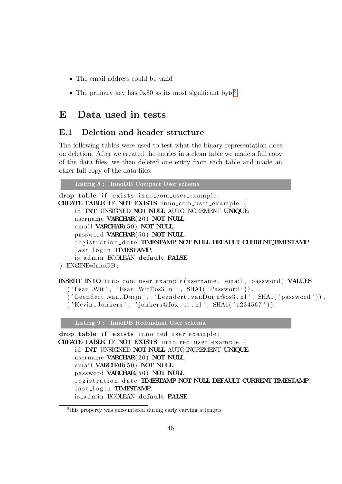- The email address could be valid
- The primary key has  $0x80$  $0x80$  $0x80$  as its most significant byte<sup>8</sup>

# <span id="page-50-0"></span>E Data used in tests

# <span id="page-50-1"></span>E.1 Deletion and header structure

The following tables were used to test what the binary representation does on deletion. After we created the entries in a clean table we made a full copy of the data files, we then deleted one entry from each table and made an other full copy of the data files.

Listing 8 : InnoDB Compact User schema

```
drop table if exists inno_com_user_example;
CREATE TABLE IF NOT EXISTS inno_com_user_example (
    id INT UNSIGNED NOT NULL AUTO INCREMENT UNIQUE,
    username VARCHAR(20) NOT NULL,
    email VARCHAR(50) NOT NULL,
    password VARCHAR(50) NOT NULL,
    registration_date TIMESTAMP NOT NULL DEFAULT CURRENT TIMESTAMP,
    last_login TIMESTAMP,
    is_admin BOOLEAN default FALSE
```

```
) ENGINE=InnoDB ;
```

```
INSERT INTO inno-com-user-example (username, email, password) VALUES
  ('Esan_Wit', 'Esan_Wit@os3.nl', SHA1('Password')),
```

```
('Leendert_van_Duijn', 'Leendert.vanDuijn@os3.nl', SHA1('password')),
```

```
(' Kevin.Jonkers', 'jonkers@fox-it.nl', SHA(''1234567'));
```
Listing 9 : InnoDB Redundant User schema

```
drop table if exists inno_red_user_example;
CREATE TABLE IF NOT EXISTS inno_red_user_example (
    id INT UNSIGNED NOT NULL AUTO INCREMENT UNIQUE,
    username VARCHAR(20) NOT NULL,
    email VARCHAR(50) NOT NULL,
    password VARCHAR(50) NOT NULL,
    registration_date TIMESTAMP NOT NULL DEFAULT CURRENT TIMESTAMP,
    last_login TIMESTAMP,
    is_admin BOOLEAN default FALSE
```
<span id="page-50-2"></span><sup>8</sup> this property was encountered during early carving attempts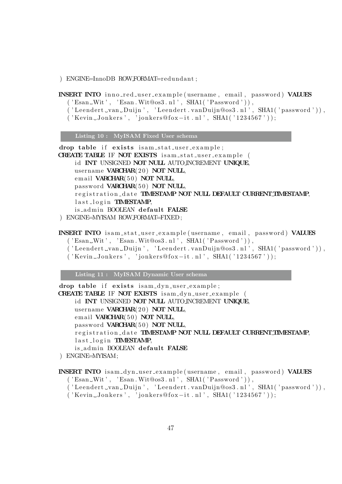) ENGINE=InnoDB ROWFORMAT=redundant ;

INSERT INTO innored\_user\_example(username, email, password) VALUES  $('Esan_Wit', 'Esan_Wit@os3.nl', SHA1('Password'))$ ,

- $('Element \dots van \text{.} Duijn', 'Leendert \dots van Duijn@os3 \dots l', SHA1('password ')),$
- $($  'Kevin Jonkers', 'jonkers@fox-it .nl', SHA1('1234567'));

Listing 10 : MyISAM Fixed User schema

drop table if exists isam\_stat\_user\_example;

CREATE TABLE IF NOT EXISTS isam\_stat\_user\_example ( id INT UNSIGNED NOT NULL AUTO INCREMENT UNIQUE, username VARCHAR(20) NOT NULL, email VARCHAR(50) NOT NULL, password VARCHAR(50) NOT NULL, registration\_date TIMESTAMP NOT NULL DEFAULT CURRENT TIMESTAMP,  $last_log in$  TIMESTAMP, is admin BOOLEAN default FALSE ) ENGINE=MYISAM ROWFORMAT=FIXED;

#### INSERT INTO isam\_stat\_user\_example(username, email, password) VALUES

- $('Esan_Wit', 'Esan_Wit@os3.nl', SHA1('Password'))$ ,
- ('Leendert\_van\_Duijn', 'Leendert.vanDuijn@os3.nl', SHA1('password')),
- $(' Kevin_Jonkers', 'jonkers@fox-it.nl', SHA1('1234567'))$ ;

Listing 11 : MyISAM Dynamic User schema

drop table if exists isam\_dyn\_user\_example;

CREATE TABLE IF NOT EXISTS isam\_dyn\_user\_example ( id INT UNSIGNED NOT NULL AUTO INCREMENT UNIQUE, username VARCHAR(20) NOT NULL, email VARCHAR(50) NOT NULL, password VARCHAR(50) NOT NULL, registration\_date TIMESTAMP NOT NULL DEFAULT CURRENT TIMESTAMP,  $last_log in$  TIMESTAMP, is\_admin BOOLEAN default FALSE

) ENGINE=MYISAM;

INSERT INTO isam\_dyn\_user\_example(username, email, password) VALUES  $('Esan_Wit', 'Esan_Wit@os3.nl', SHA1('Password'))$ ,

- ('Leendert\_van\_Duijn', 'Leendert.vanDuijn@os3.nl', SHA1('password')),
- $('$  Kevin Jonkers', 'jonkers@fox-it.nl', SHA1(' $1234567$ '));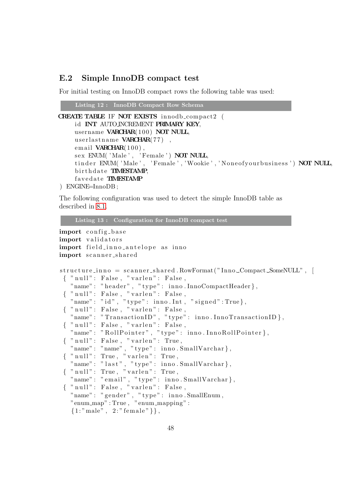# <span id="page-52-0"></span>E.2 Simple InnoDB compact test

For initial testing on InnoDB compact rows the following table was used:

```
Listing 12 : InnoDB Compact Row Schema
```

```
CREATE TABLE IF NOT EXISTS innodb compact2 (
    id INT AUTO INCREMENT PRIMARY KEY,
    username VARCHAR(100) NOT NULL,
    userlastname VARCHAR(77),
    email VARCHAR(100),
    sex ENUM('Male', 'Female') NOT NULL,
    tinder ENUM('Male', 'Female','Wookie','Noneofyourbusiness') NOT NULL,
    birthdate TIMESTAMP,
    favedate TIMESTAMP
```

```
) ENGINE=InnoDB ;
```
The following configuration was used to detect the simple InnoDB table as described in [8.1.](#page-23-1)

```
Listing 13 : Configuration for InnoDB compact test
```

```
import config_base
import validators
import field_inno_antelope as inno
import scanner_shared
structure\_inno = scanner\_shared. RowFormat ("Inno \mathcal{L}Compact \mathcal{L}SomeNULL", [
 \{ " null": False, "varlen": False,
   "name": "header", "type": inno.InnoCompactHeader},
 \{ "null": False , "varlen": False ,
   "name" : "id", "type" : inno. Int", "signed": True},{\scriptsize \{\begin{array}{l} \text{num:} \end{array}} : False, "varlen": False,
   "name": "TransactionID", "type": inno.InnoTransactionID},
 \{ " null": False, "varlen": False,
   "name": "RollPointer", "type": inno.InnoRollPointer},
 \{ " null": False, " varlen": True,
   "name": "name", "type": inno.SmallVarchar},
 \{ " null": True, " varlen": True,
   "name": "\vertlast", "type": inno. SmallVarchar },
 \{ " null": True, " varlen": True,
   "name": "email", "type": inno. SmallVarchar },
 \{ " null": False, "varlen": False,
   "name" : "gender", "type" : inno.SmallEnum,"enum_map" : True, "enum_mapping" :
   {1: "male", 2: " female" },
```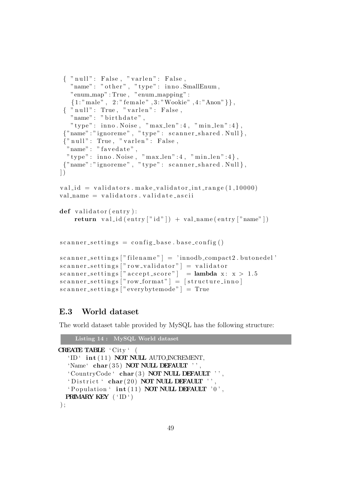```
\{ " null": False, " varlen": False,
   "name" : "other", "type" : inno.SmallEnum,"enum_map": True, "enum_mapping":
   {1: "male", 2: "female", 3: "Wookie", 4: "Anon" },
 \{ " null": True, " varlen": False,
   "name" : "birthdate"," type" : inno. Noise, \sqrt{ }" max_len" :4, " min_len" :4 },
 {"name" : " ignoreme " , " type " : s c a n n e r s h a r e d . Null } ,
 {"\n" null": True, "varlen": False,"\text{name" : "favedate",}" type" : inno. Noise, "max_len" : 4, "min_len" : 4 },
 { \text{ "name": "ignore": " type": s canner-shared . Null } },\left| \ \right)val_id = validators.macals = validator.int_range(1,10000)val_name = validators. validate_asciidef validator (entry):
    return valid ( entry [" id" ] ) + valiname ( entry [" name" ])
scanner\_setting = config\_base \cdot base\_config()scanner.settings['filename"] = 'innodb.compile2.butonedel'scanner\_settings ["row_validator"] = validator
scanner\_settings ["accept\_score"] = lambda x: x > 1.5scanner\_settings ["row\_format"] = [structure\_inno]
scanner\_setting s ["everybytemode"] = True
```
# <span id="page-53-0"></span>E.3 World dataset

The world dataset table provided by MySQL has the following structure:

```
Listing 14 : MySQL World dataset
CREATE TABLE ' City ' (
  'ID' int (11) NOT NULL AUTO INCREMENT.
  'Name' char (35) NOT NULL DEFAULT '',
  ' CountryCode ' char (3) NOT NULL DEFAULT '',
  ' District ' char (20) NOT NULL DEFAULT '',
  ' Population ' int(11) NOT NULL DEFAULT '0',
  PRIMARY KEY ('ID')
);
```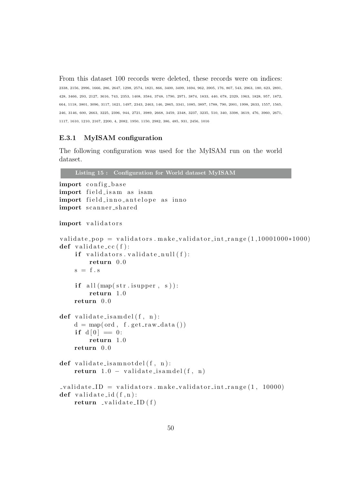From this dataset 100 records were deleted, these records were on indices: 2338, 2156, 2996, 1666, 286, 2647, 1298, 2574, 1821, 866, 3400, 3499, 1694, 962, 3905, 176, 867, 543, 2963, 180, 623, 2891, 428, 3466, 293, 2127, 3616, 743, 2353, 1408, 3584, 3748, 1790, 2971, 3874, 1833, 440, 678, 2329, 1963, 1828, 957, 1872, 664, 1118, 3801, 3096, 3117, 1621, 1497, 2343, 2463, 146, 2865, 3341, 1085, 3897, 1788, 790, 2001, 1998, 2633, 1557, 1565, 246, 3146, 600, 2663, 3225, 2396, 944, 2721, 3989, 2668, 3459, 2348, 3237, 3235, 510, 340, 3398, 3619, 476, 3960, 2671, 1117, 1610, 1210, 2167, 2200, 4, 2082, 1950, 1150, 2982, 386, 485, 931, 2456, 1016

#### <span id="page-54-0"></span>E.3.1 MyISAM configuration

The following configuration was used for the MyISAM run on the world dataset.

```
Listing 15 : Configuration for World dataset MyISAM
import config_base
import field is am as isam
import field_inno_antelope as inno
import scanner_shared
import validators
validate pop = validators . make validator int range (1,10001000*1000)def validate_cc(f):
    if \text{ validations} \cdot \text{validate} = null(f):
         return 0. 0
    s = f. s
    if \text{ all } (map(\text{str.} is upper, s)):
         return 1. 0
    return 0. 0
def validate_isamdel(f, n):
    d = map( ord, f.get_{raw_data}())if d[0] = 0:
         return 1. 0
    return 0.0def validate_isamnotdel(f, n):
    return 1.0 - \text{validate} is a mdel (f, n)v = \text{validators}. make_validator_int_range (1, 10000)def validate_id(f, n):
    return \_value\_ID(f)
```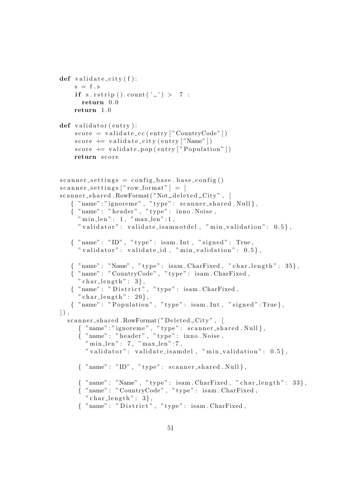```
def validate_city(f):
    s = f \cdot sif s. rstrip (). count ( ' ' ' ) > 7:
       return 0. 0
    return 1. 0
def validator (entry):
     score = validate\_cc(entry['CountryCode"])score + validate_city (entry ["Name"])
     score \neq validate\_pop(entry['Population"])return score
scanner\_setting = config\_base \cdot base\_config()scanner\_setting s ["row_format"] = [
scanner_shared.RowFormat("Not_deleted_City", [
   { "name":"ignoreme", "type": scanner_shared.Null},
   { "name": "header", "type": inno. Noise,
     "\min\text{len}" : 1, "max\text{len}" : 1," validator": validate_isamnotdel, "min_validation": 0.5,
   \{ "name": "ID", "type": isam.Int, "signed": True,
      " validator": validate_id, " min_validation": 0.5,
   { \quad \text{``name''}: \text{``Name''}, \text{``type''}: \text{~isam}. \text{CharFixed}, \text{''} \text{char\_length''}: \text{~35} }{ "name" : "CountryCode " , " type " : isam . CharFixed ,
      " char\_length" : 3,
   \{ "name" : " \mathtt{D}\mathtt{istrict} ", " \mathtt{type} " : \mathtt{isam} . \mathtt{CharFixed} ,
      " char\_length" : 20,
   \{ "name": "Population", "type": isam.Int, "signed":True},
\vert),
  scanner\_shared. RowFormat ("Deleted _City", [
      \{ "name":"ignoreme", "type": scanner_shared.Null},
      { "name": "header", "type": inno.Noise,
        \text{"min\_len"} : 7, \text{"max\_len"} : 7," v a l i d a t o r " : v ali d a t e i s am d el , " mi n v ali d a ti o n " : 0. 5 } ,
      \{ "name": "ID", "type": scanner_shared. Null \},\{ "name": "Name", "type": isam.CharFixed, "char_length": 33\},
      \mathcal{L} "name": "CountryCode", "type": isam.CharFixed,
        " char\_length" : 3,
      { "name": "District", "type": isam. CharFixed,
```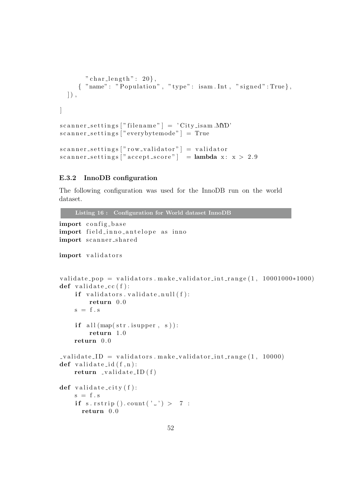```
" char\_length" : 20,
      \{ "name": "\overline{P} opulation", "type": isam.Int, "signed":True},
  \vert),
]
scannersettings<sup>"</sup> filename" | = 'City.isam.MD'scanner_{settings} | "everybytemode" | = True
scanner\_settings ["row_validator"] = validator
scanner_{\text{settings}} |"accept_{\text{score}}" | = lambda x: x > 2.9
```
# <span id="page-56-0"></span>E.3.2 InnoDB configuration

The following configuration was used for the InnoDB run on the world dataset.

Listing 16 : Configuration for World dataset InnoDB

```
import config_base
import field_inno_antelope as inno
import scanner_shared
import validators
validate pop = validators . make validator int range (1, 10001000*1000)def validate_cc(f):
     if \text{ validations} \cdot \text{validate} \cdot \text{null} (f):
         return 0. 0
    s = f \cdot sif all (\text{map}(\text{str.} \text{is upper, s})):return 1. 0
     return 0. 0
v_{\text{u}} validate ID = validators . make validator int range (1, 10000)def validate_id(f, n):
    return \_value\_ID(f)def validate_city(f):
    s = f \cdot sif s. rstrip (). count ('') > 7:
       return 0. 0
```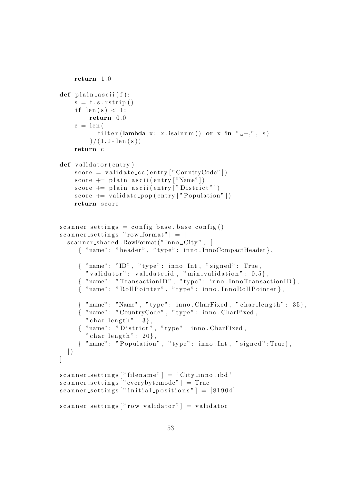```
return 1. 0
def plain_ascii(f):
    s = f.s.rstrip()if len(s) < 1:
        return 0. 0
    c = len(filter (lambda x: x.isalnum () or x in " --,", s)
         )/(1.0*len(s))return c
def validator (entry):
    score = validate\_cc(entry['CountryCode"])score + plain_ascii (entry ["Name"])
    score \neq plain_associi(entry['District"]score \text{ } \leftarrow \text{ } validate\_pop \text{ } (entry \text{ } | "Population" \text{ } | )return score
scanner\_setting = config\_base \cdot base\_config()scanner\_settings ["row_format"] = [
  scanner\_shared. RowFormat(''Inno\_City', [
     \{ "name": "header", "type": inno.InnoCompactHeader\},
     \{ "name": "ID", "type": inno.Int, "signed": True,
       " validator": validate_id, "min_validation": 0.5},
     \{ "name": "TransactionID", "type": inno.InnoTransactionID},
     { "name": "RollPointer", "type": inno.InnoRollPointer},
     \{ "name": "Name", "type": inno. CharFixed, "char_length": 35\},
     \{ "name": "CountryCode", "type": inno . CharFixed,
       " char\_length" : 3,
     { "name": "District", "type": inno. CharFixed,
       " char\_length" : 20,
     \{ "name": "Population", "type": inno.Int, "signed":True},
  ] )
]
scanner_settings['filename"] = 'City.inno.id'scanner_setting s ["everybytemode" ] = Truescanner\_settings ["initial_positions"] = [81904]
scanner\_settings ["row_validator"] = validator
```